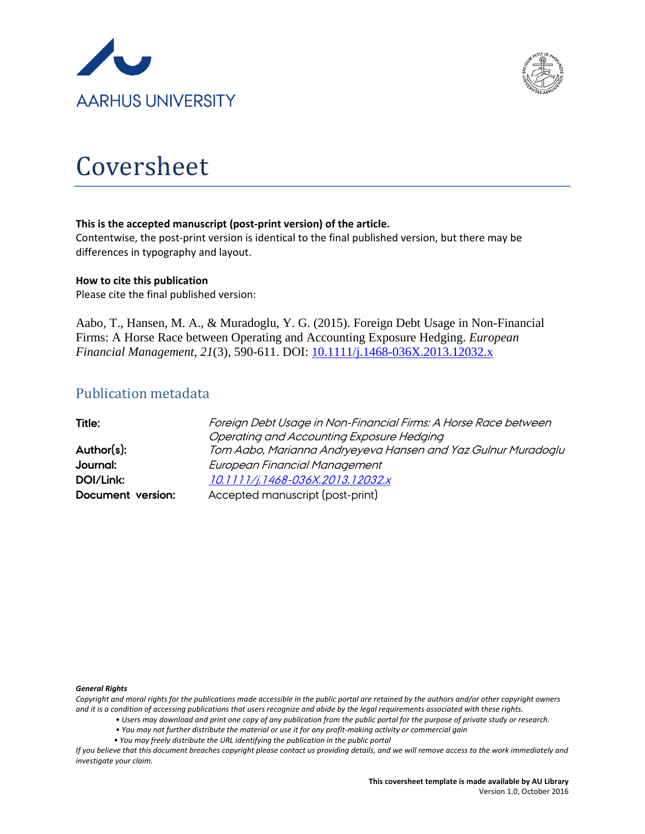



# Coversheet

#### **This is the accepted manuscript (post-print version) of the article.**

Contentwise, the post-print version is identical to the final published version, but there may be differences in typography and layout.

#### **How to cite this publication**

Please cite the final published version:

Aabo, T., Hansen, M. A., & Muradoglu, Y. G. (2015). Foreign Debt Usage in Non-Financial Firms: A Horse Race between Operating and Accounting Exposure Hedging. *European Financial Management*, *21*(3), 590-611. DOI: [10.1111/j.1468-036X.2013.12032.x](http://dx.doi.org/10.1111/j.1468-036X.2013.12032.x)

# Publication metadata

| Title:            | Foreign Debt Usage in Non-Financial Firms: A Horse Race between |
|-------------------|-----------------------------------------------------------------|
|                   | Operating and Accounting Exposure Hedging                       |
| Author(s):        | Tom Aabo, Marianna Andryeyeva Hansen and Yaz Gulnur Muradoglu   |
| Journal:          | European Financial Management                                   |
| DOI/Link:         | 10.1111/j.1468-036X.2013.12032.x                                |
| Document version: | Accepted manuscript (post-print)                                |

#### *General Rights*

*Copyright and moral rights for the publications made accessible in the public portal are retained by the authors and/or other copyright owners and it is a condition of accessing publications that users recognize and abide by the legal requirements associated with these rights.*

- *Users may download and print one copy of any publication from the public portal for the purpose of private study or research.*
- *You may not further distribute the material or use it for any profit-making activity or commercial gain*
- *You may freely distribute the URL identifying the publication in the public portal*

*If you believe that this document breaches copyright please contact us providing details, and we will remove access to the work immediately and investigate your claim.*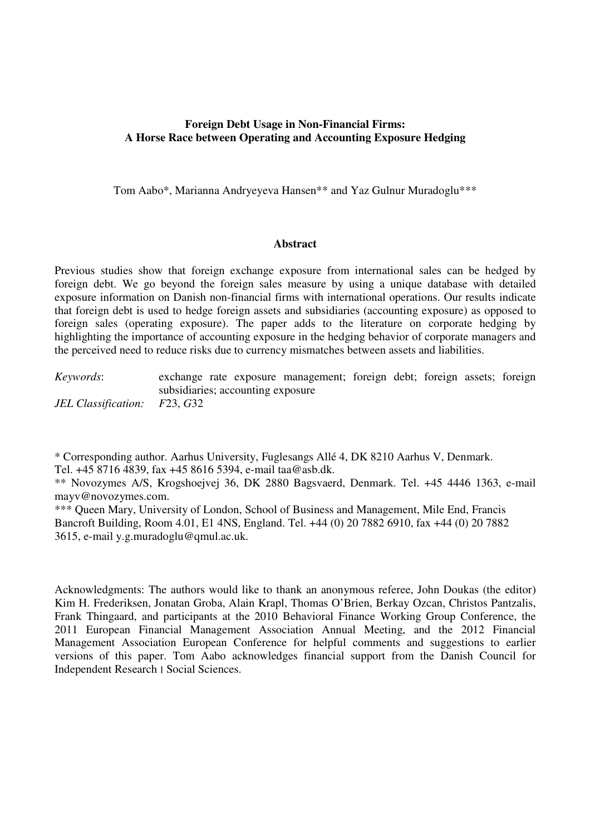## **Foreign Debt Usage in Non-Financial Firms: A Horse Race between Operating and Accounting Exposure Hedging**

Tom Aabo\*, Marianna Andryeyeva Hansen\*\* and Yaz Gulnur Muradoglu\*\*\*

#### **Abstract**

Previous studies show that foreign exchange exposure from international sales can be hedged by foreign debt. We go beyond the foreign sales measure by using a unique database with detailed exposure information on Danish non-financial firms with international operations. Our results indicate that foreign debt is used to hedge foreign assets and subsidiaries (accounting exposure) as opposed to foreign sales (operating exposure). The paper adds to the literature on corporate hedging by highlighting the importance of accounting exposure in the hedging behavior of corporate managers and the perceived need to reduce risks due to currency mismatches between assets and liabilities.

*Keywords*: exchange rate exposure management; foreign debt; foreign assets; foreign subsidiaries; accounting exposure *JEL Classification: F*23, *G*32

\* Corresponding author. Aarhus University, Fuglesangs Allé 4, DK 8210 Aarhus V, Denmark. Tel. +45 8716 4839, fax +45 8616 5394, e-mail taa@asb.dk.

\*\* Novozymes A/S, Krogshoejvej 36, DK 2880 Bagsvaerd, Denmark. Tel. +45 4446 1363, e-mail mayv@novozymes.com.

\*\*\* Queen Mary, University of London, School of Business and Management, Mile End, Francis Bancroft Building, Room 4.01, E1 4NS, England. Tel. +44 (0) 20 7882 6910, fax +44 (0) 20 7882 3615, e-mail y.g.muradoglu@qmul.ac.uk.

Acknowledgments: The authors would like to thank an anonymous referee, John Doukas (the editor) Kim H. Frederiksen, Jonatan Groba, Alain Krapl, Thomas O'Brien, Berkay Ozcan, Christos Pantzalis, Frank Thingaard, and participants at the 2010 Behavioral Finance Working Group Conference, the 2011 European Financial Management Association Annual Meeting, and the 2012 Financial Management Association European Conference for helpful comments and suggestions to earlier versions of this paper. Tom Aabo acknowledges financial support from the Danish Council for Independent Research ׀ Social Sciences.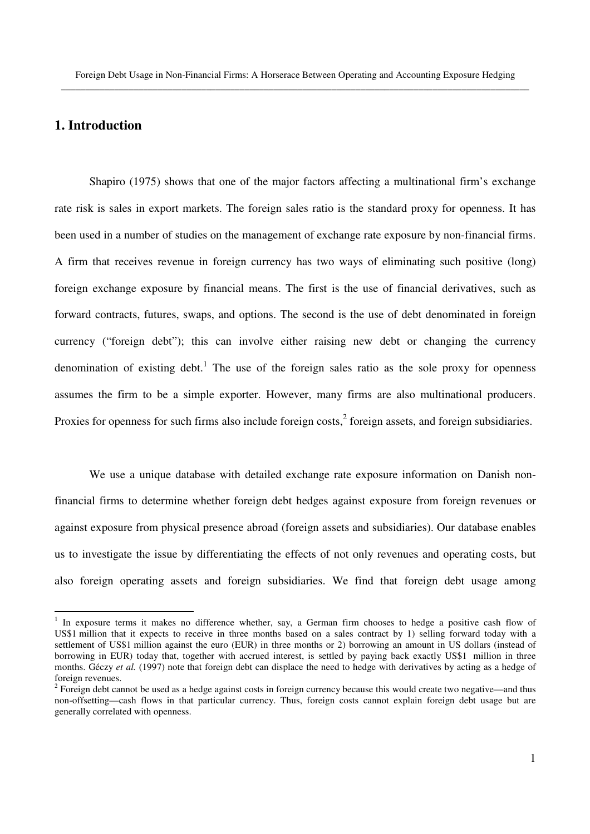# **1. Introduction**

-

Shapiro (1975) shows that one of the major factors affecting a multinational firm's exchange rate risk is sales in export markets. The foreign sales ratio is the standard proxy for openness. It has been used in a number of studies on the management of exchange rate exposure by non-financial firms. A firm that receives revenue in foreign currency has two ways of eliminating such positive (long) foreign exchange exposure by financial means. The first is the use of financial derivatives, such as forward contracts, futures, swaps, and options. The second is the use of debt denominated in foreign currency ("foreign debt"); this can involve either raising new debt or changing the currency denomination of existing debt.<sup>1</sup> The use of the foreign sales ratio as the sole proxy for openness assumes the firm to be a simple exporter. However, many firms are also multinational producers. Proxies for openness for such firms also include foreign costs, $<sup>2</sup>$  foreign assets, and foreign subsidiaries.</sup>

We use a unique database with detailed exchange rate exposure information on Danish nonfinancial firms to determine whether foreign debt hedges against exposure from foreign revenues or against exposure from physical presence abroad (foreign assets and subsidiaries). Our database enables us to investigate the issue by differentiating the effects of not only revenues and operating costs, but also foreign operating assets and foreign subsidiaries. We find that foreign debt usage among

<sup>&</sup>lt;sup>1</sup> In exposure terms it makes no difference whether, say, a German firm chooses to hedge a positive cash flow of US\$1 million that it expects to receive in three months based on a sales contract by 1) selling forward today with a settlement of US\$1 million against the euro (EUR) in three months or 2) borrowing an amount in US dollars (instead of borrowing in EUR) today that, together with accrued interest, is settled by paying back exactly US\$1 million in three months. Géczy *et al.* (1997) note that foreign debt can displace the need to hedge with derivatives by acting as a hedge of foreign revenues.

 $2^2$  Foreign debt cannot be used as a hedge against costs in foreign currency because this would create two negative—and thus non-offsetting—cash flows in that particular currency. Thus, foreign costs cannot explain foreign debt usage but are generally correlated with openness.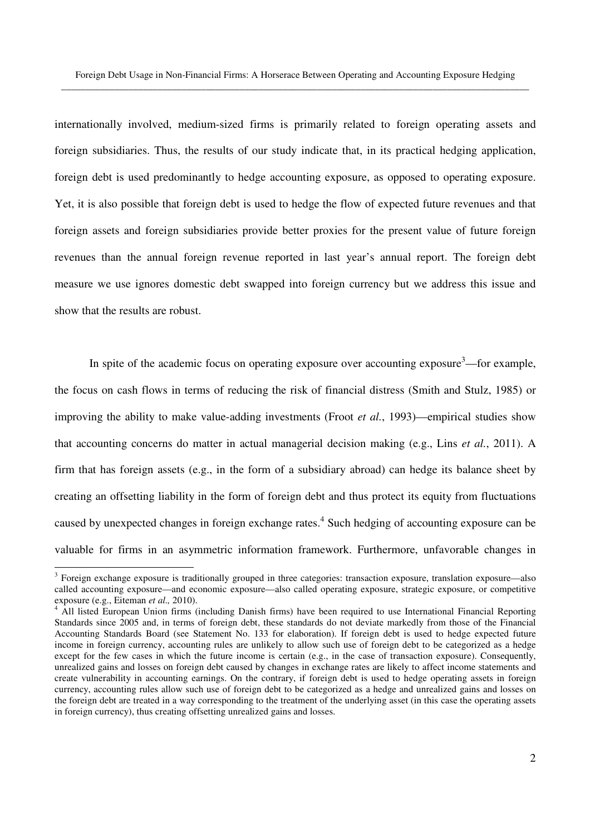internationally involved, medium-sized firms is primarily related to foreign operating assets and foreign subsidiaries. Thus, the results of our study indicate that, in its practical hedging application, foreign debt is used predominantly to hedge accounting exposure, as opposed to operating exposure. Yet, it is also possible that foreign debt is used to hedge the flow of expected future revenues and that foreign assets and foreign subsidiaries provide better proxies for the present value of future foreign revenues than the annual foreign revenue reported in last year's annual report. The foreign debt measure we use ignores domestic debt swapped into foreign currency but we address this issue and show that the results are robust.

In spite of the academic focus on operating exposure over accounting exposure<sup>3</sup>—for example, the focus on cash flows in terms of reducing the risk of financial distress (Smith and Stulz, 1985) or improving the ability to make value-adding investments (Froot *et al.*, 1993)—empirical studies show that accounting concerns do matter in actual managerial decision making (e.g., Lins *et al.*, 2011). A firm that has foreign assets (e.g., in the form of a subsidiary abroad) can hedge its balance sheet by creating an offsetting liability in the form of foreign debt and thus protect its equity from fluctuations caused by unexpected changes in foreign exchange rates.<sup>4</sup> Such hedging of accounting exposure can be valuable for firms in an asymmetric information framework. Furthermore, unfavorable changes in

<sup>&</sup>lt;sup>3</sup> Foreign exchange exposure is traditionally grouped in three categories: transaction exposure, translation exposure—also called accounting exposure—and economic exposure—also called operating exposure, strategic exposure, or competitive exposure (e.g., Eiteman *et al.,* 2010).

<sup>4</sup> All listed European Union firms (including Danish firms) have been required to use International Financial Reporting Standards since 2005 and, in terms of foreign debt, these standards do not deviate markedly from those of the Financial Accounting Standards Board (see Statement No. 133 for elaboration). If foreign debt is used to hedge expected future income in foreign currency, accounting rules are unlikely to allow such use of foreign debt to be categorized as a hedge except for the few cases in which the future income is certain (e.g., in the case of transaction exposure). Consequently, unrealized gains and losses on foreign debt caused by changes in exchange rates are likely to affect income statements and create vulnerability in accounting earnings. On the contrary, if foreign debt is used to hedge operating assets in foreign currency, accounting rules allow such use of foreign debt to be categorized as a hedge and unrealized gains and losses on the foreign debt are treated in a way corresponding to the treatment of the underlying asset (in this case the operating assets in foreign currency), thus creating offsetting unrealized gains and losses.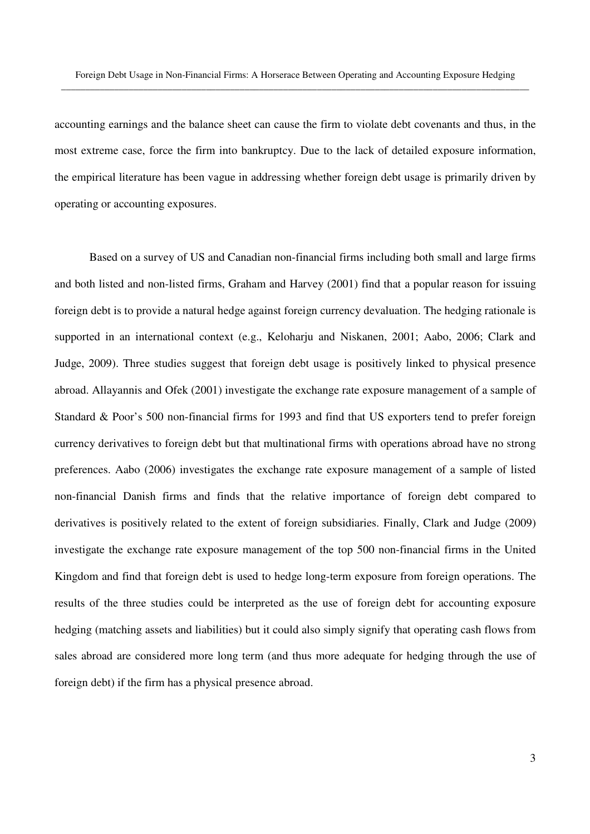accounting earnings and the balance sheet can cause the firm to violate debt covenants and thus, in the most extreme case, force the firm into bankruptcy. Due to the lack of detailed exposure information, the empirical literature has been vague in addressing whether foreign debt usage is primarily driven by operating or accounting exposures.

Based on a survey of US and Canadian non-financial firms including both small and large firms and both listed and non-listed firms, Graham and Harvey (2001) find that a popular reason for issuing foreign debt is to provide a natural hedge against foreign currency devaluation. The hedging rationale is supported in an international context (e.g., Keloharju and Niskanen, 2001; Aabo, 2006; Clark and Judge, 2009). Three studies suggest that foreign debt usage is positively linked to physical presence abroad. Allayannis and Ofek (2001) investigate the exchange rate exposure management of a sample of Standard & Poor's 500 non-financial firms for 1993 and find that US exporters tend to prefer foreign currency derivatives to foreign debt but that multinational firms with operations abroad have no strong preferences. Aabo (2006) investigates the exchange rate exposure management of a sample of listed non-financial Danish firms and finds that the relative importance of foreign debt compared to derivatives is positively related to the extent of foreign subsidiaries. Finally, Clark and Judge (2009) investigate the exchange rate exposure management of the top 500 non-financial firms in the United Kingdom and find that foreign debt is used to hedge long-term exposure from foreign operations. The results of the three studies could be interpreted as the use of foreign debt for accounting exposure hedging (matching assets and liabilities) but it could also simply signify that operating cash flows from sales abroad are considered more long term (and thus more adequate for hedging through the use of foreign debt) if the firm has a physical presence abroad.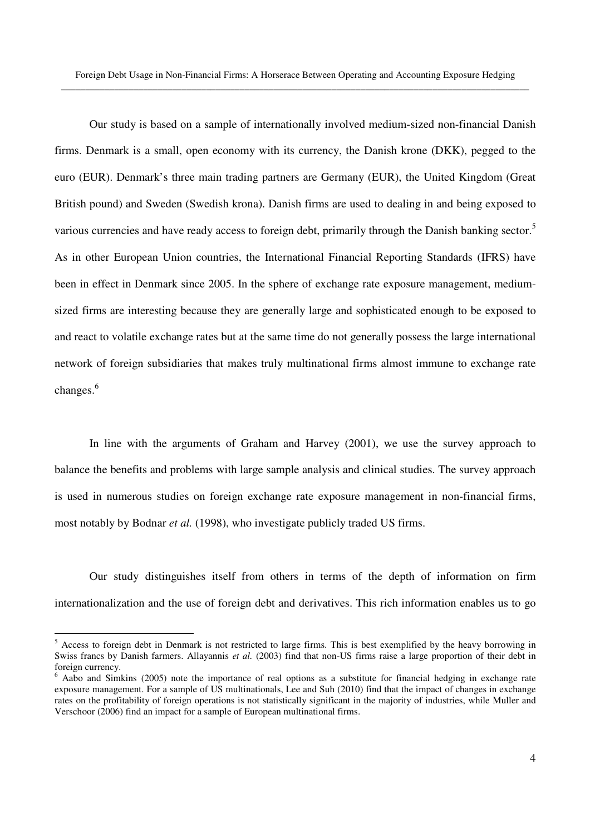Our study is based on a sample of internationally involved medium-sized non-financial Danish firms. Denmark is a small, open economy with its currency, the Danish krone (DKK), pegged to the euro (EUR). Denmark's three main trading partners are Germany (EUR), the United Kingdom (Great British pound) and Sweden (Swedish krona). Danish firms are used to dealing in and being exposed to various currencies and have ready access to foreign debt, primarily through the Danish banking sector.<sup>5</sup> As in other European Union countries, the International Financial Reporting Standards (IFRS) have been in effect in Denmark since 2005. In the sphere of exchange rate exposure management, mediumsized firms are interesting because they are generally large and sophisticated enough to be exposed to and react to volatile exchange rates but at the same time do not generally possess the large international network of foreign subsidiaries that makes truly multinational firms almost immune to exchange rate changes.<sup>6</sup>

In line with the arguments of Graham and Harvey (2001), we use the survey approach to balance the benefits and problems with large sample analysis and clinical studies. The survey approach is used in numerous studies on foreign exchange rate exposure management in non-financial firms, most notably by Bodnar *et al.* (1998), who investigate publicly traded US firms.

Our study distinguishes itself from others in terms of the depth of information on firm internationalization and the use of foreign debt and derivatives. This rich information enables us to go

<sup>&</sup>lt;sup>5</sup> Access to foreign debt in Denmark is not restricted to large firms. This is best exemplified by the heavy borrowing in Swiss francs by Danish farmers. Allayannis *et al.* (2003) find that non-US firms raise a large proportion of their debt in foreign currency.

<sup>&</sup>lt;sup>6</sup> Aabo and Simkins (2005) note the importance of real options as a substitute for financial hedging in exchange rate exposure management. For a sample of US multinationals, Lee and Suh (2010) find that the impact of changes in exchange rates on the profitability of foreign operations is not statistically significant in the majority of industries, while Muller and Verschoor (2006) find an impact for a sample of European multinational firms.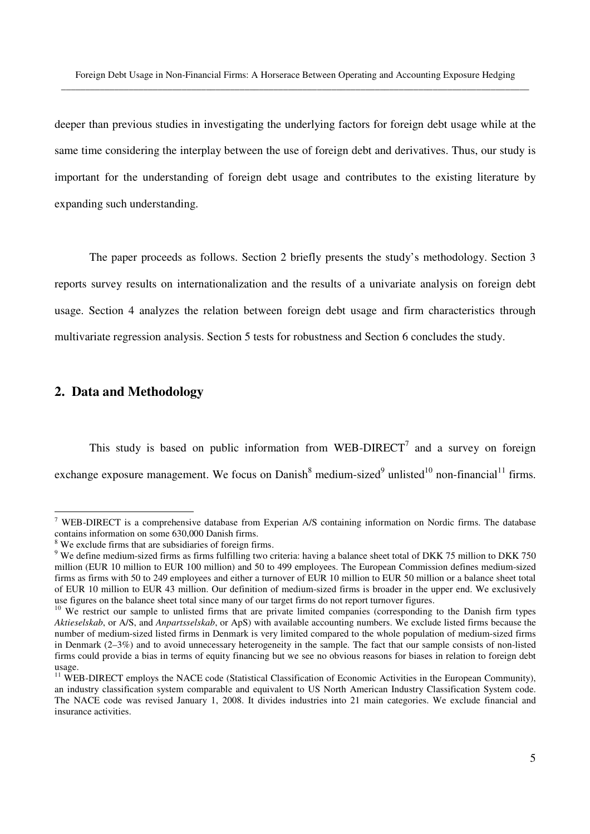deeper than previous studies in investigating the underlying factors for foreign debt usage while at the same time considering the interplay between the use of foreign debt and derivatives. Thus, our study is important for the understanding of foreign debt usage and contributes to the existing literature by expanding such understanding.

The paper proceeds as follows. Section 2 briefly presents the study's methodology. Section 3 reports survey results on internationalization and the results of a univariate analysis on foreign debt usage. Section 4 analyzes the relation between foreign debt usage and firm characteristics through multivariate regression analysis. Section 5 tests for robustness and Section 6 concludes the study.

# **2. Data and Methodology**

-

This study is based on public information from WEB-DIRECT<sup>7</sup> and a survey on foreign exchange exposure management. We focus on Danish<sup>8</sup> medium-sized<sup>9</sup> unlisted<sup>10</sup> non-financial<sup>11</sup> firms.

<sup>&</sup>lt;sup>7</sup> WEB-DIRECT is a comprehensive database from Experian A/S containing information on Nordic firms. The database contains information on some 630,000 Danish firms.

<sup>8</sup> We exclude firms that are subsidiaries of foreign firms.

 $9$  We define medium-sized firms as firms fulfilling two criteria: having a balance sheet total of DKK 75 million to DKK 750 million (EUR 10 million to EUR 100 million) and 50 to 499 employees. The European Commission defines medium-sized firms as firms with 50 to 249 employees and either a turnover of EUR 10 million to EUR 50 million or a balance sheet total of EUR 10 million to EUR 43 million. Our definition of medium-sized firms is broader in the upper end. We exclusively use figures on the balance sheet total since many of our target firms do not report turnover figures.

<sup>&</sup>lt;sup>10</sup> We restrict our sample to unlisted firms that are private limited companies (corresponding to the Danish firm types *Aktieselskab*, or A/S, and *Anpartsselskab*, or ApS) with available accounting numbers. We exclude listed firms because the number of medium-sized listed firms in Denmark is very limited compared to the whole population of medium-sized firms in Denmark (2–3%) and to avoid unnecessary heterogeneity in the sample. The fact that our sample consists of non-listed firms could provide a bias in terms of equity financing but we see no obvious reasons for biases in relation to foreign debt usage.

<sup>&</sup>lt;sup>11</sup> WEB-DIRECT employs the NACE code (Statistical Classification of Economic Activities in the European Community), an industry classification system comparable and equivalent to US North American Industry Classification System code. The NACE code was revised January 1, 2008. It divides industries into 21 main categories. We exclude financial and insurance activities.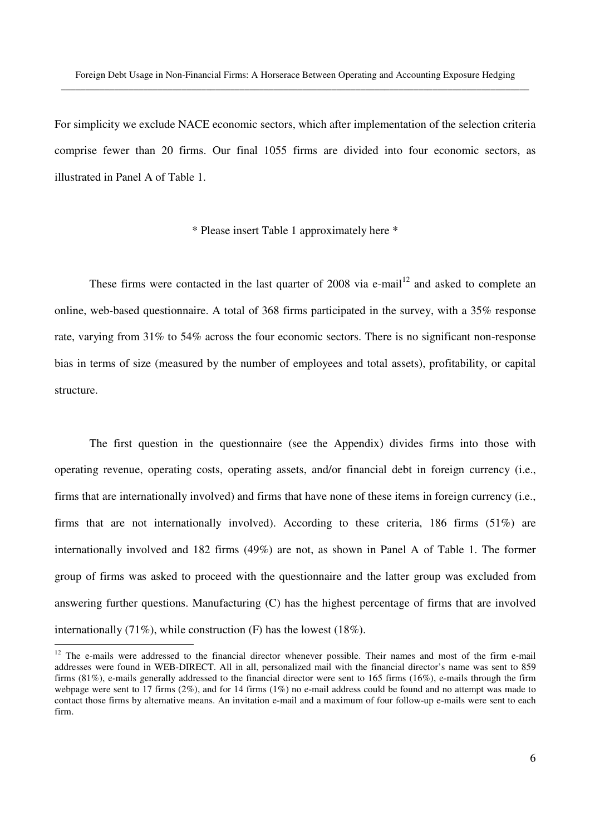For simplicity we exclude NACE economic sectors, which after implementation of the selection criteria comprise fewer than 20 firms. Our final 1055 firms are divided into four economic sectors, as illustrated in Panel A of Table 1.

\* Please insert Table 1 approximately here \*

These firms were contacted in the last quarter of  $2008$  via e-mail<sup>12</sup> and asked to complete an online, web-based questionnaire. A total of 368 firms participated in the survey, with a 35% response rate, varying from 31% to 54% across the four economic sectors. There is no significant non-response bias in terms of size (measured by the number of employees and total assets), profitability, or capital structure.

The first question in the questionnaire (see the Appendix) divides firms into those with operating revenue, operating costs, operating assets, and/or financial debt in foreign currency (i.e., firms that are internationally involved) and firms that have none of these items in foreign currency (i.e., firms that are not internationally involved). According to these criteria, 186 firms (51%) are internationally involved and 182 firms (49%) are not, as shown in Panel A of Table 1. The former group of firms was asked to proceed with the questionnaire and the latter group was excluded from answering further questions. Manufacturing (C) has the highest percentage of firms that are involved internationally (71%), while construction (F) has the lowest (18%).

<u>.</u>

 $12$  The e-mails were addressed to the financial director whenever possible. Their names and most of the firm e-mail addresses were found in WEB-DIRECT. All in all, personalized mail with the financial director's name was sent to 859 firms (81%), e-mails generally addressed to the financial director were sent to 165 firms (16%), e-mails through the firm webpage were sent to 17 firms (2%), and for 14 firms (1%) no e-mail address could be found and no attempt was made to contact those firms by alternative means. An invitation e-mail and a maximum of four follow-up e-mails were sent to each firm.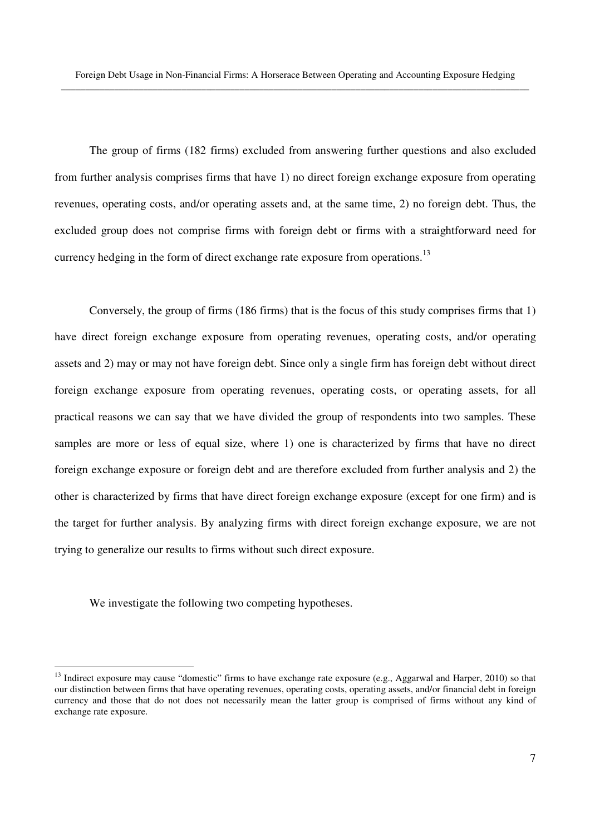The group of firms (182 firms) excluded from answering further questions and also excluded from further analysis comprises firms that have 1) no direct foreign exchange exposure from operating revenues, operating costs, and/or operating assets and, at the same time, 2) no foreign debt. Thus, the excluded group does not comprise firms with foreign debt or firms with a straightforward need for currency hedging in the form of direct exchange rate exposure from operations.<sup>13</sup>

Conversely, the group of firms (186 firms) that is the focus of this study comprises firms that 1) have direct foreign exchange exposure from operating revenues, operating costs, and/or operating assets and 2) may or may not have foreign debt. Since only a single firm has foreign debt without direct foreign exchange exposure from operating revenues, operating costs, or operating assets, for all practical reasons we can say that we have divided the group of respondents into two samples. These samples are more or less of equal size, where 1) one is characterized by firms that have no direct foreign exchange exposure or foreign debt and are therefore excluded from further analysis and 2) the other is characterized by firms that have direct foreign exchange exposure (except for one firm) and is the target for further analysis. By analyzing firms with direct foreign exchange exposure, we are not trying to generalize our results to firms without such direct exposure.

We investigate the following two competing hypotheses.

<sup>&</sup>lt;sup>13</sup> Indirect exposure may cause "domestic" firms to have exchange rate exposure (e.g., Aggarwal and Harper, 2010) so that our distinction between firms that have operating revenues, operating costs, operating assets, and/or financial debt in foreign currency and those that do not does not necessarily mean the latter group is comprised of firms without any kind of exchange rate exposure.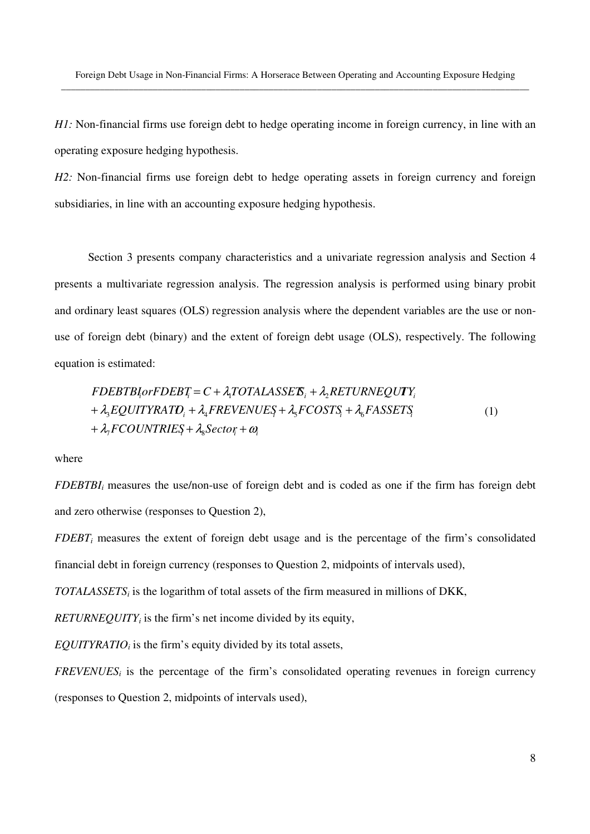*H1*: Non-financial firms use foreign debt to hedge operating income in foreign currency, in line with an operating exposure hedging hypothesis.

*H2*: Non-financial firms use foreign debt to hedge operating assets in foreign currency and foreign subsidiaries, in line with an accounting exposure hedging hypothesis.

Section 3 presents company characteristics and a univariate regression analysis and Section 4 presents a multivariate regression analysis. The regression analysis is performed using binary probit and ordinary least squares (OLS) regression analysis where the dependent variables are the use or nonuse of foreign debt (binary) and the extent of foreign debt usage (OLS), respectively. The following equation is estimated:

$$
FDEBTB{iorFDEBi} = C + \lambda_1 TOTALASSE\mathbf{S}_{i} + \lambda_2 RETURNEQUTY_{i}
$$
  
+  $\lambda_3 EQUITYRATD_i + \lambda_4 FREVENUES + \lambda_5 FCOSTS_i + \lambda_6 FASSETS_i$   
+  $\lambda_7 FCOUNTRIES + \lambda_8 Sector_i + \omega_i$  (1)

where

*FDEBTBIi* measures the use/non-use of foreign debt and is coded as one if the firm has foreign debt and zero otherwise (responses to Question 2),

*FDEBT<sup>i</sup>* measures the extent of foreign debt usage and is the percentage of the firm's consolidated financial debt in foreign currency (responses to Question 2, midpoints of intervals used),

*TOTALASSETS<sup>i</sup>* is the logarithm of total assets of the firm measured in millions of DKK,

 $RETUREQUITY_i$  is the firm's net income divided by its equity,

*EQUITYRATIOi* is the firm's equity divided by its total assets,

*FREVENUES<sub>i</sub>* is the percentage of the firm's consolidated operating revenues in foreign currency (responses to Question 2, midpoints of intervals used),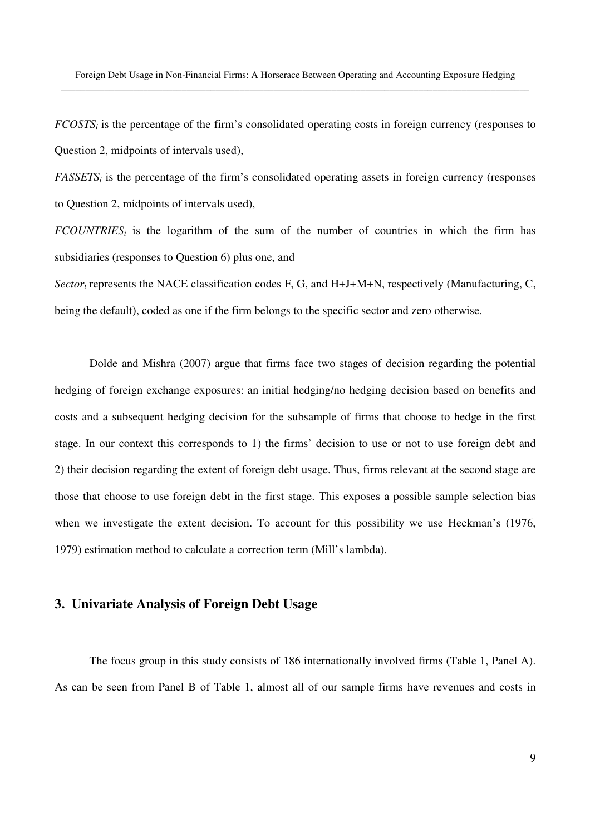*FCOSTS<sub>i</sub>* is the percentage of the firm's consolidated operating costs in foreign currency (responses to Question 2, midpoints of intervals used),

*FASSETS<sub>i</sub>* is the percentage of the firm's consolidated operating assets in foreign currency (responses to Question 2, midpoints of intervals used),

*FCOUNTRIES<sub>i</sub>* is the logarithm of the sum of the number of countries in which the firm has subsidiaries (responses to Question 6) plus one, and

Sector<sub>i</sub> represents the NACE classification codes F, G, and H+J+M+N, respectively (Manufacturing, C, being the default), coded as one if the firm belongs to the specific sector and zero otherwise.

Dolde and Mishra (2007) argue that firms face two stages of decision regarding the potential hedging of foreign exchange exposures: an initial hedging/no hedging decision based on benefits and costs and a subsequent hedging decision for the subsample of firms that choose to hedge in the first stage. In our context this corresponds to 1) the firms' decision to use or not to use foreign debt and 2) their decision regarding the extent of foreign debt usage. Thus, firms relevant at the second stage are those that choose to use foreign debt in the first stage. This exposes a possible sample selection bias when we investigate the extent decision. To account for this possibility we use Heckman's (1976, 1979) estimation method to calculate a correction term (Mill's lambda).

# **3. Univariate Analysis of Foreign Debt Usage**

The focus group in this study consists of 186 internationally involved firms (Table 1, Panel A). As can be seen from Panel B of Table 1, almost all of our sample firms have revenues and costs in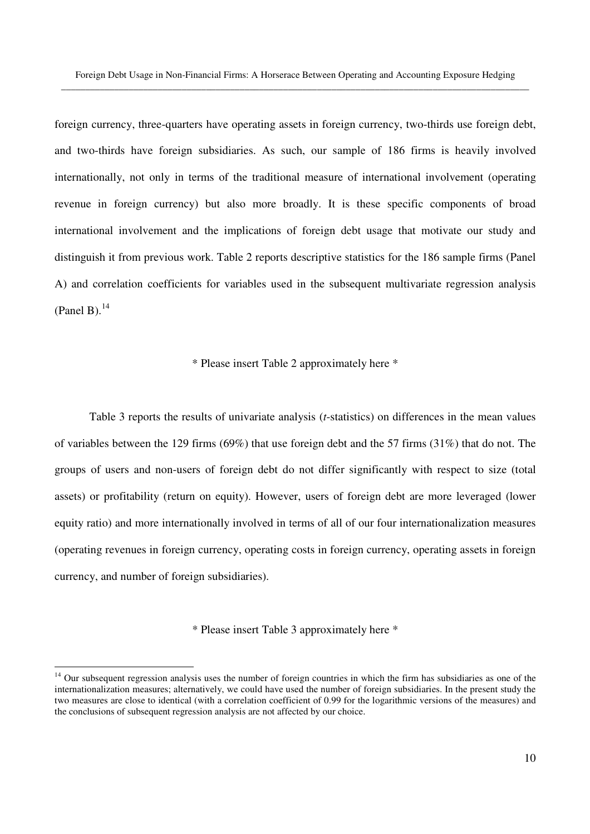foreign currency, three-quarters have operating assets in foreign currency, two-thirds use foreign debt, and two-thirds have foreign subsidiaries. As such, our sample of 186 firms is heavily involved internationally, not only in terms of the traditional measure of international involvement (operating revenue in foreign currency) but also more broadly. It is these specific components of broad international involvement and the implications of foreign debt usage that motivate our study and distinguish it from previous work. Table 2 reports descriptive statistics for the 186 sample firms (Panel A) and correlation coefficients for variables used in the subsequent multivariate regression analysis (Panel B). $^{14}$ 

## \* Please insert Table 2 approximately here \*

Table 3 reports the results of univariate analysis (*t*-statistics) on differences in the mean values of variables between the 129 firms (69%) that use foreign debt and the 57 firms (31%) that do not. The groups of users and non-users of foreign debt do not differ significantly with respect to size (total assets) or profitability (return on equity). However, users of foreign debt are more leveraged (lower equity ratio) and more internationally involved in terms of all of our four internationalization measures (operating revenues in foreign currency, operating costs in foreign currency, operating assets in foreign currency, and number of foreign subsidiaries).

## \* Please insert Table 3 approximately here \*

<sup>&</sup>lt;sup>14</sup> Our subsequent regression analysis uses the number of foreign countries in which the firm has subsidiaries as one of the internationalization measures; alternatively, we could have used the number of foreign subsidiaries. In the present study the two measures are close to identical (with a correlation coefficient of 0.99 for the logarithmic versions of the measures) and the conclusions of subsequent regression analysis are not affected by our choice.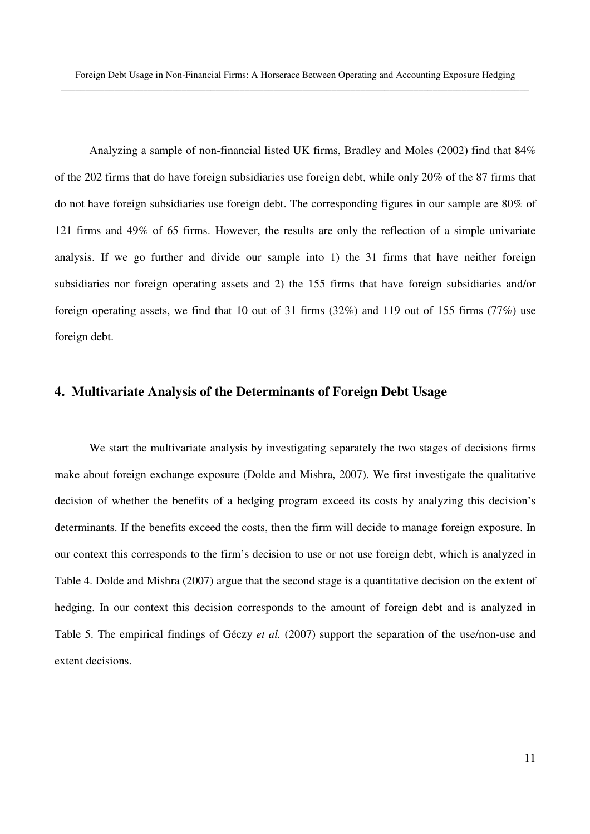Analyzing a sample of non-financial listed UK firms, Bradley and Moles (2002) find that 84% of the 202 firms that do have foreign subsidiaries use foreign debt, while only 20% of the 87 firms that do not have foreign subsidiaries use foreign debt. The corresponding figures in our sample are 80% of 121 firms and 49% of 65 firms. However, the results are only the reflection of a simple univariate analysis. If we go further and divide our sample into 1) the 31 firms that have neither foreign subsidiaries nor foreign operating assets and 2) the 155 firms that have foreign subsidiaries and/or foreign operating assets, we find that 10 out of 31 firms (32%) and 119 out of 155 firms (77%) use foreign debt.

## **4. Multivariate Analysis of the Determinants of Foreign Debt Usage**

We start the multivariate analysis by investigating separately the two stages of decisions firms make about foreign exchange exposure (Dolde and Mishra, 2007). We first investigate the qualitative decision of whether the benefits of a hedging program exceed its costs by analyzing this decision's determinants. If the benefits exceed the costs, then the firm will decide to manage foreign exposure. In our context this corresponds to the firm's decision to use or not use foreign debt, which is analyzed in Table 4. Dolde and Mishra (2007) argue that the second stage is a quantitative decision on the extent of hedging. In our context this decision corresponds to the amount of foreign debt and is analyzed in Table 5. The empirical findings of Géczy *et al.* (2007) support the separation of the use/non-use and extent decisions.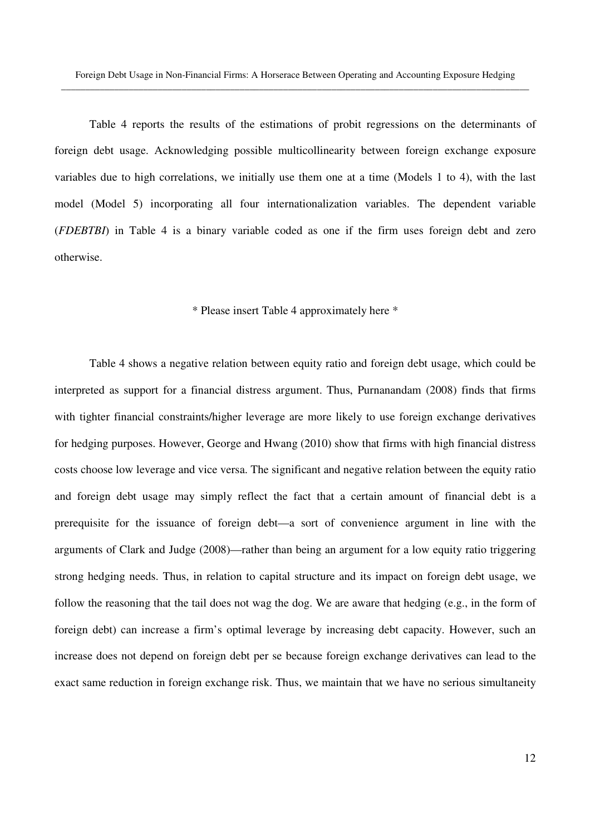Table 4 reports the results of the estimations of probit regressions on the determinants of foreign debt usage. Acknowledging possible multicollinearity between foreign exchange exposure variables due to high correlations, we initially use them one at a time (Models 1 to 4), with the last model (Model 5) incorporating all four internationalization variables. The dependent variable (*FDEBTBI*) in Table 4 is a binary variable coded as one if the firm uses foreign debt and zero otherwise.

### \* Please insert Table 4 approximately here \*

Table 4 shows a negative relation between equity ratio and foreign debt usage, which could be interpreted as support for a financial distress argument. Thus, Purnanandam (2008) finds that firms with tighter financial constraints/higher leverage are more likely to use foreign exchange derivatives for hedging purposes. However, George and Hwang (2010) show that firms with high financial distress costs choose low leverage and vice versa. The significant and negative relation between the equity ratio and foreign debt usage may simply reflect the fact that a certain amount of financial debt is a prerequisite for the issuance of foreign debt—a sort of convenience argument in line with the arguments of Clark and Judge (2008)—rather than being an argument for a low equity ratio triggering strong hedging needs. Thus, in relation to capital structure and its impact on foreign debt usage, we follow the reasoning that the tail does not wag the dog. We are aware that hedging (e.g., in the form of foreign debt) can increase a firm's optimal leverage by increasing debt capacity. However, such an increase does not depend on foreign debt per se because foreign exchange derivatives can lead to the exact same reduction in foreign exchange risk. Thus, we maintain that we have no serious simultaneity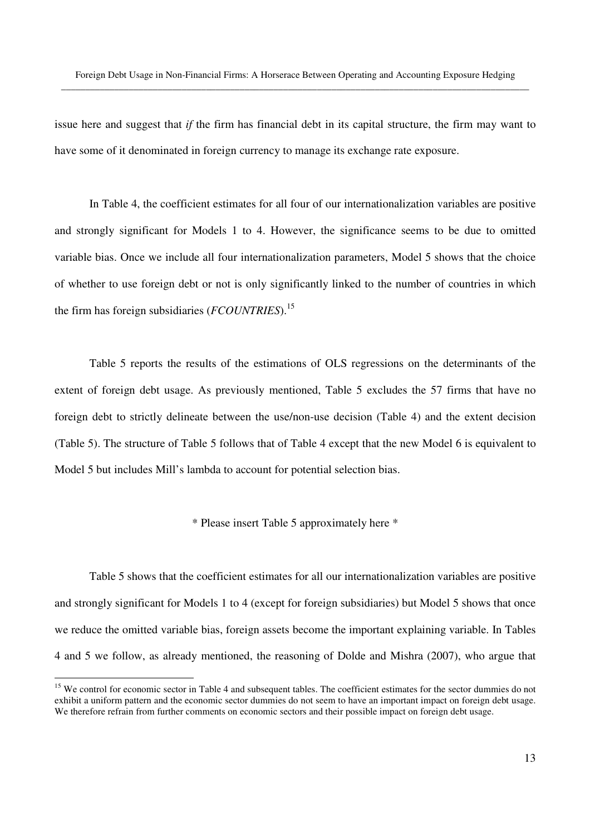issue here and suggest that *if* the firm has financial debt in its capital structure, the firm may want to have some of it denominated in foreign currency to manage its exchange rate exposure.

In Table 4, the coefficient estimates for all four of our internationalization variables are positive and strongly significant for Models 1 to 4. However, the significance seems to be due to omitted variable bias. Once we include all four internationalization parameters, Model 5 shows that the choice of whether to use foreign debt or not is only significantly linked to the number of countries in which the firm has foreign subsidiaries (*FCOUNTRIES*).<sup>15</sup>

Table 5 reports the results of the estimations of OLS regressions on the determinants of the extent of foreign debt usage. As previously mentioned, Table 5 excludes the 57 firms that have no foreign debt to strictly delineate between the use/non-use decision (Table 4) and the extent decision (Table 5). The structure of Table 5 follows that of Table 4 except that the new Model 6 is equivalent to Model 5 but includes Mill's lambda to account for potential selection bias.

\* Please insert Table 5 approximately here \*

Table 5 shows that the coefficient estimates for all our internationalization variables are positive and strongly significant for Models 1 to 4 (except for foreign subsidiaries) but Model 5 shows that once we reduce the omitted variable bias, foreign assets become the important explaining variable. In Tables 4 and 5 we follow, as already mentioned, the reasoning of Dolde and Mishra (2007), who argue that

<sup>&</sup>lt;sup>15</sup> We control for economic sector in Table 4 and subsequent tables. The coefficient estimates for the sector dummies do not exhibit a uniform pattern and the economic sector dummies do not seem to have an important impact on foreign debt usage. We therefore refrain from further comments on economic sectors and their possible impact on foreign debt usage.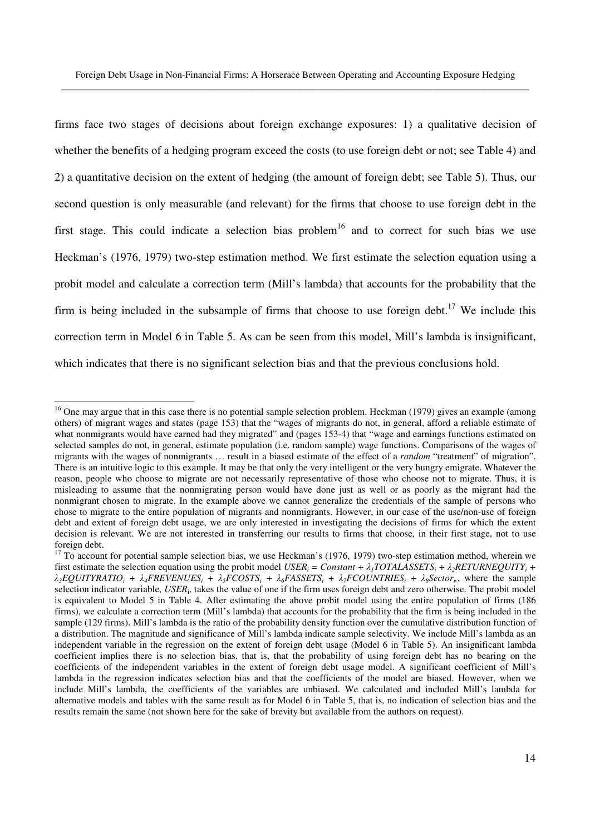firms face two stages of decisions about foreign exchange exposures: 1) a qualitative decision of whether the benefits of a hedging program exceed the costs (to use foreign debt or not; see Table 4) and 2) a quantitative decision on the extent of hedging (the amount of foreign debt; see Table 5). Thus, our second question is only measurable (and relevant) for the firms that choose to use foreign debt in the first stage. This could indicate a selection bias problem<sup>16</sup> and to correct for such bias we use Heckman's (1976, 1979) two-step estimation method. We first estimate the selection equation using a probit model and calculate a correction term (Mill's lambda) that accounts for the probability that the firm is being included in the subsample of firms that choose to use foreign debt.<sup>17</sup> We include this correction term in Model 6 in Table 5. As can be seen from this model, Mill's lambda is insignificant, which indicates that there is no significant selection bias and that the previous conclusions hold.

<sup>&</sup>lt;sup>16</sup> One may argue that in this case there is no potential sample selection problem. Heckman (1979) gives an example (among others) of migrant wages and states (page 153) that the "wages of migrants do not, in general, afford a reliable estimate of what nonmigrants would have earned had they migrated" and (pages 153-4) that "wage and earnings functions estimated on selected samples do not, in general, estimate population (i.e. random sample) wage functions. Comparisons of the wages of migrants with the wages of nonmigrants … result in a biased estimate of the effect of a *random* "treatment" of migration". There is an intuitive logic to this example. It may be that only the very intelligent or the very hungry emigrate. Whatever the reason, people who choose to migrate are not necessarily representative of those who choose not to migrate. Thus, it is misleading to assume that the nonmigrating person would have done just as well or as poorly as the migrant had the nonmigrant chosen to migrate. In the example above we cannot generalize the credentials of the sample of persons who chose to migrate to the entire population of migrants and nonmigrants. However, in our case of the use/non-use of foreign debt and extent of foreign debt usage, we are only interested in investigating the decisions of firms for which the extent decision is relevant. We are not interested in transferring our results to firms that choose, in their first stage, not to use foreign debt.

 $17$  To account for potential sample selection bias, we use Heckman's (1976, 1979) two-step estimation method, wherein we first estimate the selection equation using the probit model *USER<sub>i</sub>* = *Constant* +  $\lambda_i TOTALASSETS_i + \lambda_2 RETURNEQUITY_i +$  $\lambda_3$ EQUITYRATIO<sub>i</sub> +  $\lambda_4$ FREVENUES<sub>i</sub> +  $\lambda_5$ FCOSTS<sub>i</sub> +  $\lambda_6$ FASSETS<sub>i</sub> +  $\lambda_7$ FCOUNTRIES<sub>i</sub> +  $\lambda_8$ Sector<sub>i</sub>, where the sample selection indicator variable, *USER*<sup>i</sup> , takes the value of one if the firm uses foreign debt and zero otherwise. The probit model is equivalent to Model 5 in Table 4. After estimating the above probit model using the entire population of firms (186 firms), we calculate a correction term (Mill's lambda) that accounts for the probability that the firm is being included in the sample (129 firms). Mill's lambda is the ratio of the probability density function over the cumulative distribution function of a distribution. The magnitude and significance of Mill's lambda indicate sample selectivity. We include Mill's lambda as an independent variable in the regression on the extent of foreign debt usage (Model 6 in Table 5). An insignificant lambda coefficient implies there is no selection bias, that is, that the probability of using foreign debt has no bearing on the coefficients of the independent variables in the extent of foreign debt usage model. A significant coefficient of Mill's lambda in the regression indicates selection bias and that the coefficients of the model are biased. However, when we include Mill's lambda, the coefficients of the variables are unbiased. We calculated and included Mill's lambda for alternative models and tables with the same result as for Model 6 in Table 5, that is, no indication of selection bias and the results remain the same (not shown here for the sake of brevity but available from the authors on request).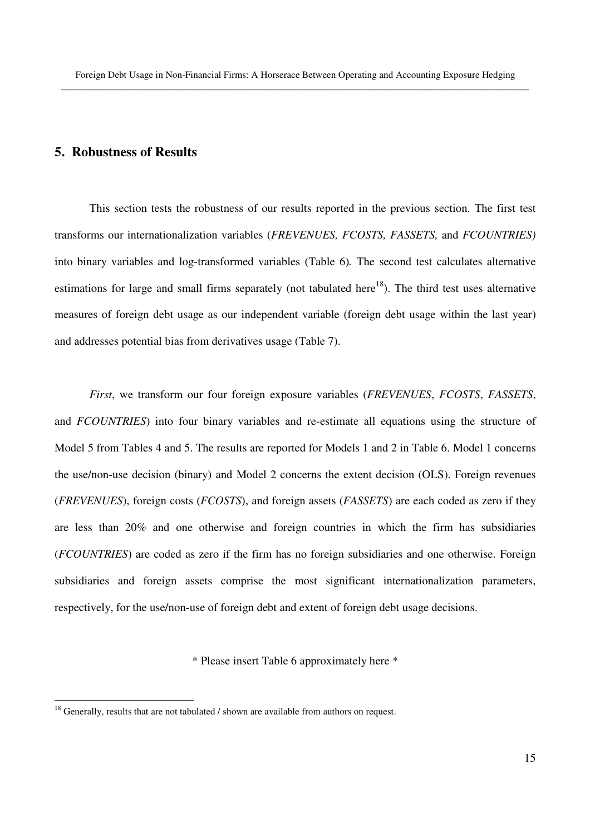# **5. Robustness of Results**

This section tests the robustness of our results reported in the previous section. The first test transforms our internationalization variables (*FREVENUES, FCOSTS, FASSETS,* and *FCOUNTRIES)*  into binary variables and log-transformed variables (Table 6)*.* The second test calculates alternative estimations for large and small firms separately (not tabulated here<sup>18</sup>). The third test uses alternative measures of foreign debt usage as our independent variable (foreign debt usage within the last year) and addresses potential bias from derivatives usage (Table 7).

*First*, we transform our four foreign exposure variables (*FREVENUES*, *FCOSTS*, *FASSETS*, and *FCOUNTRIES*) into four binary variables and re-estimate all equations using the structure of Model 5 from Tables 4 and 5. The results are reported for Models 1 and 2 in Table 6. Model 1 concerns the use/non-use decision (binary) and Model 2 concerns the extent decision (OLS). Foreign revenues (*FREVENUES*), foreign costs (*FCOSTS*), and foreign assets (*FASSETS*) are each coded as zero if they are less than 20% and one otherwise and foreign countries in which the firm has subsidiaries (*FCOUNTRIES*) are coded as zero if the firm has no foreign subsidiaries and one otherwise. Foreign subsidiaries and foreign assets comprise the most significant internationalization parameters, respectively, for the use/non-use of foreign debt and extent of foreign debt usage decisions.

\* Please insert Table 6 approximately here \*

 $18$  Generally, results that are not tabulated / shown are available from authors on request.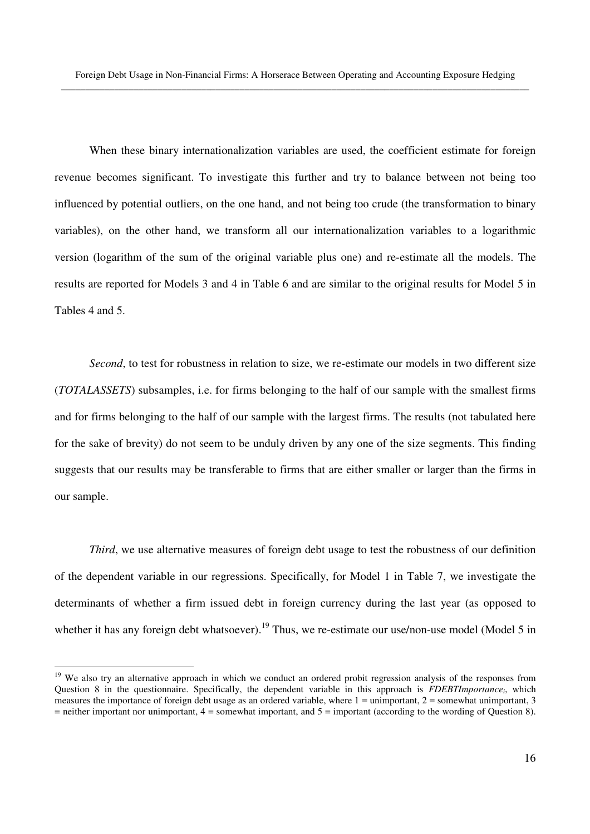When these binary internationalization variables are used, the coefficient estimate for foreign revenue becomes significant. To investigate this further and try to balance between not being too influenced by potential outliers, on the one hand, and not being too crude (the transformation to binary variables), on the other hand, we transform all our internationalization variables to a logarithmic version (logarithm of the sum of the original variable plus one) and re-estimate all the models. The results are reported for Models 3 and 4 in Table 6 and are similar to the original results for Model 5 in Tables 4 and 5.

*Second*, to test for robustness in relation to size, we re-estimate our models in two different size (*TOTALASSETS*) subsamples, i.e. for firms belonging to the half of our sample with the smallest firms and for firms belonging to the half of our sample with the largest firms. The results (not tabulated here for the sake of brevity) do not seem to be unduly driven by any one of the size segments. This finding suggests that our results may be transferable to firms that are either smaller or larger than the firms in our sample.

*Third*, we use alternative measures of foreign debt usage to test the robustness of our definition of the dependent variable in our regressions. Specifically, for Model 1 in Table 7, we investigate the determinants of whether a firm issued debt in foreign currency during the last year (as opposed to whether it has any foreign debt whatsoever).<sup>19</sup> Thus, we re-estimate our use/non-use model (Model 5 in

<sup>&</sup>lt;sup>19</sup> We also try an alternative approach in which we conduct an ordered probit regression analysis of the responses from Question 8 in the questionnaire. Specifically, the dependent variable in this approach is *FDEBTImportance<sup>i</sup>* , which measures the importance of foreign debt usage as an ordered variable, where  $1 =$  unimportant,  $2 =$  somewhat unimportant, 3  $=$  neither important nor unimportant,  $4 =$  somewhat important, and  $5 =$  important (according to the wording of Question 8).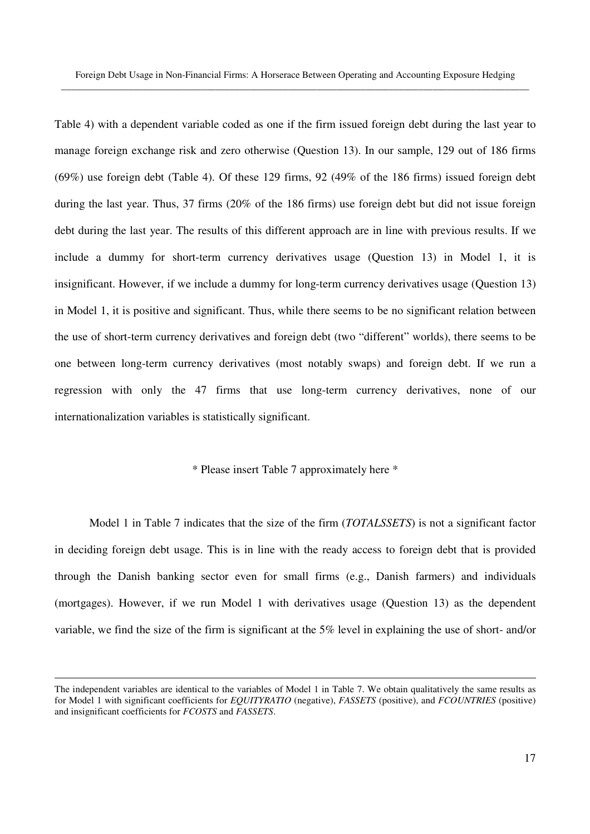Table 4) with a dependent variable coded as one if the firm issued foreign debt during the last year to manage foreign exchange risk and zero otherwise (Question 13). In our sample, 129 out of 186 firms (69%) use foreign debt (Table 4). Of these 129 firms, 92 (49% of the 186 firms) issued foreign debt during the last year. Thus, 37 firms (20% of the 186 firms) use foreign debt but did not issue foreign debt during the last year. The results of this different approach are in line with previous results. If we include a dummy for short-term currency derivatives usage (Question 13) in Model 1, it is insignificant. However, if we include a dummy for long-term currency derivatives usage (Question 13) in Model 1, it is positive and significant. Thus, while there seems to be no significant relation between the use of short-term currency derivatives and foreign debt (two "different" worlds), there seems to be one between long-term currency derivatives (most notably swaps) and foreign debt. If we run a regression with only the 47 firms that use long-term currency derivatives, none of our internationalization variables is statistically significant.

#### \* Please insert Table 7 approximately here \*

 Model 1 in Table 7 indicates that the size of the firm (*TOTALSSETS*) is not a significant factor in deciding foreign debt usage. This is in line with the ready access to foreign debt that is provided through the Danish banking sector even for small firms (e.g., Danish farmers) and individuals (mortgages). However, if we run Model 1 with derivatives usage (Question 13) as the dependent variable, we find the size of the firm is significant at the 5% level in explaining the use of short- and/or

The independent variables are identical to the variables of Model 1 in Table 7. We obtain qualitatively the same results as for Model 1 with significant coefficients for *EQUITYRATIO* (negative), *FASSETS* (positive), and *FCOUNTRIES* (positive) and insignificant coefficients for *FCOSTS* and *FASSETS*.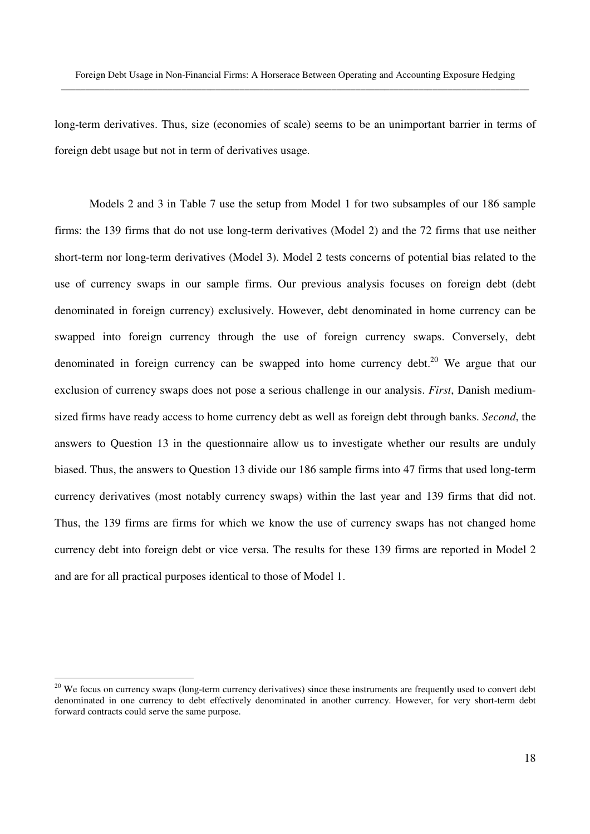long-term derivatives. Thus, size (economies of scale) seems to be an unimportant barrier in terms of foreign debt usage but not in term of derivatives usage.

 Models 2 and 3 in Table 7 use the setup from Model 1 for two subsamples of our 186 sample firms: the 139 firms that do not use long-term derivatives (Model 2) and the 72 firms that use neither short-term nor long-term derivatives (Model 3). Model 2 tests concerns of potential bias related to the use of currency swaps in our sample firms. Our previous analysis focuses on foreign debt (debt denominated in foreign currency) exclusively. However, debt denominated in home currency can be swapped into foreign currency through the use of foreign currency swaps. Conversely, debt denominated in foreign currency can be swapped into home currency debt.<sup>20</sup> We argue that our exclusion of currency swaps does not pose a serious challenge in our analysis. *First*, Danish mediumsized firms have ready access to home currency debt as well as foreign debt through banks. *Second*, the answers to Question 13 in the questionnaire allow us to investigate whether our results are unduly biased. Thus, the answers to Question 13 divide our 186 sample firms into 47 firms that used long-term currency derivatives (most notably currency swaps) within the last year and 139 firms that did not. Thus, the 139 firms are firms for which we know the use of currency swaps has not changed home currency debt into foreign debt or vice versa. The results for these 139 firms are reported in Model 2 and are for all practical purposes identical to those of Model 1.

 $20$  We focus on currency swaps (long-term currency derivatives) since these instruments are frequently used to convert debt denominated in one currency to debt effectively denominated in another currency. However, for very short-term debt forward contracts could serve the same purpose.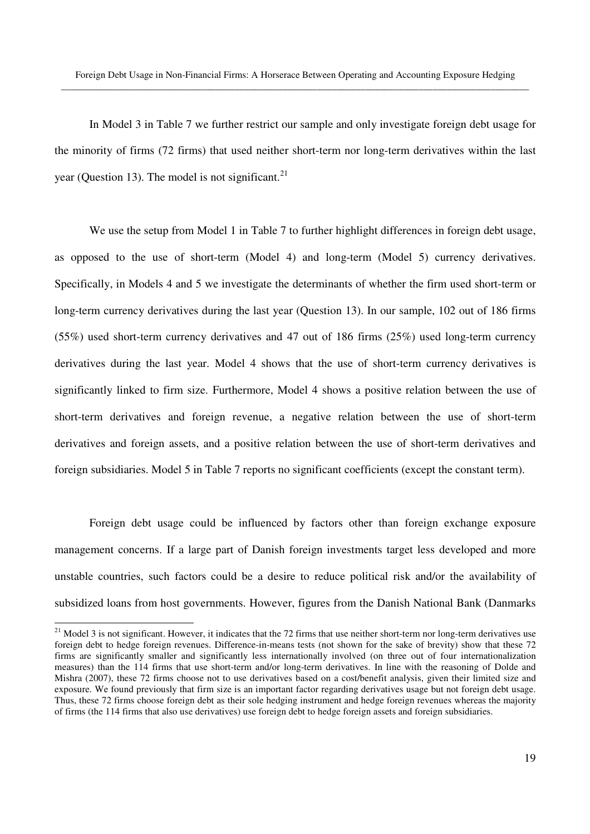In Model 3 in Table 7 we further restrict our sample and only investigate foreign debt usage for the minority of firms (72 firms) that used neither short-term nor long-term derivatives within the last year (Question 13). The model is not significant.<sup>21</sup>

We use the setup from Model 1 in Table 7 to further highlight differences in foreign debt usage, as opposed to the use of short-term (Model 4) and long-term (Model 5) currency derivatives. Specifically, in Models 4 and 5 we investigate the determinants of whether the firm used short-term or long-term currency derivatives during the last year (Question 13). In our sample, 102 out of 186 firms (55%) used short-term currency derivatives and 47 out of 186 firms (25%) used long-term currency derivatives during the last year. Model 4 shows that the use of short-term currency derivatives is significantly linked to firm size. Furthermore, Model 4 shows a positive relation between the use of short-term derivatives and foreign revenue, a negative relation between the use of short-term derivatives and foreign assets, and a positive relation between the use of short-term derivatives and foreign subsidiaries. Model 5 in Table 7 reports no significant coefficients (except the constant term).

Foreign debt usage could be influenced by factors other than foreign exchange exposure management concerns. If a large part of Danish foreign investments target less developed and more unstable countries, such factors could be a desire to reduce political risk and/or the availability of subsidized loans from host governments. However, figures from the Danish National Bank (Danmarks

 $21$  Model 3 is not significant. However, it indicates that the 72 firms that use neither short-term nor long-term derivatives use foreign debt to hedge foreign revenues. Difference-in-means tests (not shown for the sake of brevity) show that these 72 firms are significantly smaller and significantly less internationally involved (on three out of four internationalization measures) than the 114 firms that use short-term and/or long-term derivatives. In line with the reasoning of Dolde and Mishra (2007), these 72 firms choose not to use derivatives based on a cost/benefit analysis, given their limited size and exposure. We found previously that firm size is an important factor regarding derivatives usage but not foreign debt usage. Thus, these 72 firms choose foreign debt as their sole hedging instrument and hedge foreign revenues whereas the majority of firms (the 114 firms that also use derivatives) use foreign debt to hedge foreign assets and foreign subsidiaries.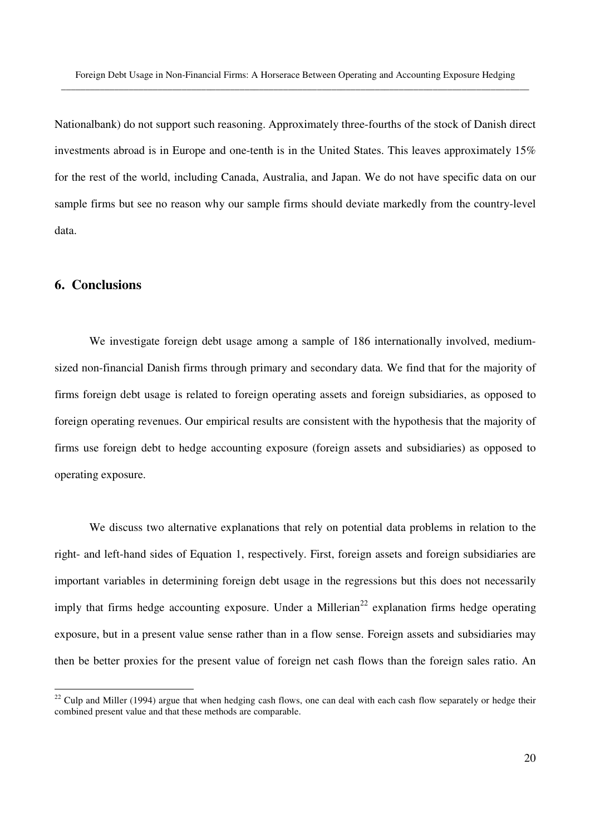Nationalbank) do not support such reasoning. Approximately three-fourths of the stock of Danish direct investments abroad is in Europe and one-tenth is in the United States. This leaves approximately 15% for the rest of the world, including Canada, Australia, and Japan. We do not have specific data on our sample firms but see no reason why our sample firms should deviate markedly from the country-level data.

# **6. Conclusions**

-

We investigate foreign debt usage among a sample of 186 internationally involved, mediumsized non-financial Danish firms through primary and secondary data. We find that for the majority of firms foreign debt usage is related to foreign operating assets and foreign subsidiaries, as opposed to foreign operating revenues. Our empirical results are consistent with the hypothesis that the majority of firms use foreign debt to hedge accounting exposure (foreign assets and subsidiaries) as opposed to operating exposure.

We discuss two alternative explanations that rely on potential data problems in relation to the right- and left-hand sides of Equation 1, respectively. First, foreign assets and foreign subsidiaries are important variables in determining foreign debt usage in the regressions but this does not necessarily imply that firms hedge accounting exposure. Under a Millerian<sup>22</sup> explanation firms hedge operating exposure, but in a present value sense rather than in a flow sense. Foreign assets and subsidiaries may then be better proxies for the present value of foreign net cash flows than the foreign sales ratio. An

 $22$  Culp and Miller (1994) argue that when hedging cash flows, one can deal with each cash flow separately or hedge their combined present value and that these methods are comparable.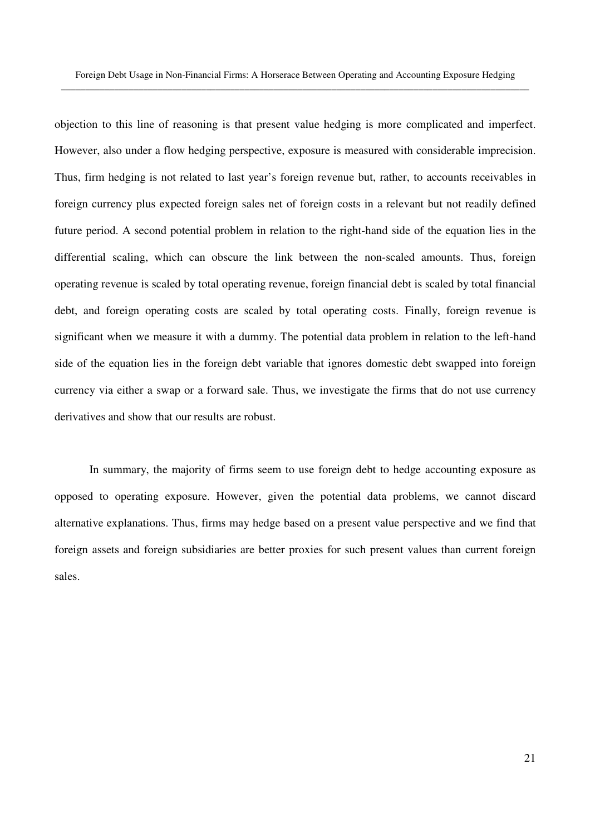objection to this line of reasoning is that present value hedging is more complicated and imperfect. However, also under a flow hedging perspective, exposure is measured with considerable imprecision. Thus, firm hedging is not related to last year's foreign revenue but, rather, to accounts receivables in foreign currency plus expected foreign sales net of foreign costs in a relevant but not readily defined future period. A second potential problem in relation to the right-hand side of the equation lies in the differential scaling, which can obscure the link between the non-scaled amounts. Thus, foreign operating revenue is scaled by total operating revenue, foreign financial debt is scaled by total financial debt, and foreign operating costs are scaled by total operating costs. Finally, foreign revenue is significant when we measure it with a dummy. The potential data problem in relation to the left-hand side of the equation lies in the foreign debt variable that ignores domestic debt swapped into foreign currency via either a swap or a forward sale. Thus, we investigate the firms that do not use currency derivatives and show that our results are robust.

In summary, the majority of firms seem to use foreign debt to hedge accounting exposure as opposed to operating exposure. However, given the potential data problems, we cannot discard alternative explanations. Thus, firms may hedge based on a present value perspective and we find that foreign assets and foreign subsidiaries are better proxies for such present values than current foreign sales.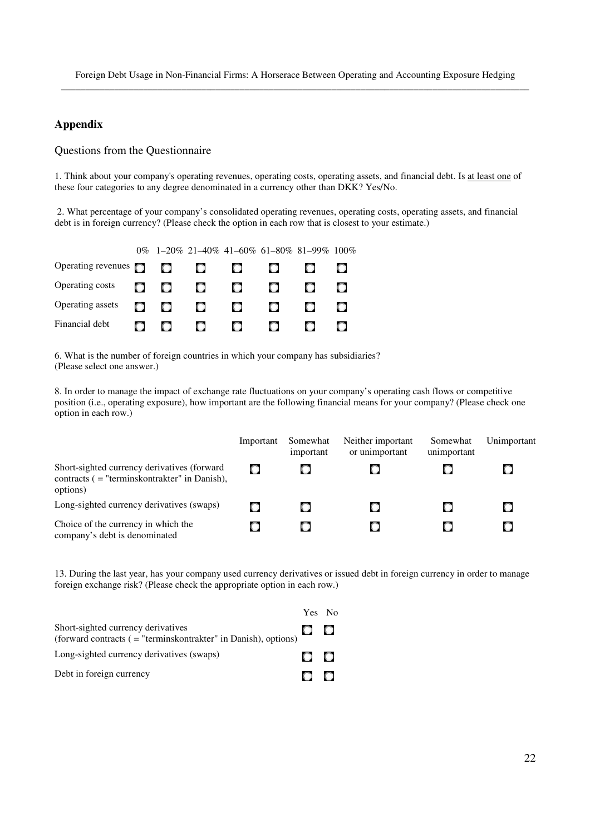# **Appendix**

#### Questions from the Questionnaire

1. Think about your company's operating revenues, operating costs, operating assets, and financial debt. Is at least one of these four categories to any degree denominated in a currency other than DKK? Yes/No.

 2. What percentage of your company's consolidated operating revenues, operating costs, operating assets, and financial debt is in foreign currency? (Please check the option in each row that is closest to your estimate.)

|                           |        |           |         |      |     | $0\%$ 1-20% 21-40% 41-60% 61-80% 81-99% 100% |  |
|---------------------------|--------|-----------|---------|------|-----|----------------------------------------------|--|
| Operating revenues $\Box$ |        | $\bullet$ | $\circ$ | 0    | O   |                                              |  |
| Operating costs           | $\Box$ | o         | $\Box$  | 0    | CD. |                                              |  |
| Operating assets          | O.     | m.        | $\Box$  | CD.  | O.  | C. D                                         |  |
| Financial debt            |        |           | I D.    | C 3. |     |                                              |  |

6. What is the number of foreign countries in which your company has subsidiaries? (Please select one answer.)

8. In order to manage the impact of exchange rate fluctuations on your company's operating cash flows or competitive position (i.e., operating exposure), how important are the following financial means for your company? (Please check one option in each row.)

|                                                                                                            | Important | Somewhat<br>important | Neither important<br>or unimportant | Somewhat<br>unimportant | Unimportant |
|------------------------------------------------------------------------------------------------------------|-----------|-----------------------|-------------------------------------|-------------------------|-------------|
| Short-sighted currency derivatives (forward<br>contracts $($ = "terminskontrakter" in Danish),<br>options) |           |                       |                                     |                         |             |
| Long-sighted currency derivatives (swaps)                                                                  |           |                       |                                     | О                       |             |
| Choice of the currency in which the<br>company's debt is denominated                                       |           |                       |                                     | О                       |             |

13. During the last year, has your company used currency derivatives or issued debt in foreign currency in order to manage foreign exchange risk? (Please check the appropriate option in each row.)

|                                                                                                       | Yes No              |  |
|-------------------------------------------------------------------------------------------------------|---------------------|--|
| Short-sighted currency derivatives<br>(forward contracts ( = "terminskontrakter" in Danish), options) | $\bullet$ $\bullet$ |  |
| Long-sighted currency derivatives (swaps)                                                             | O O                 |  |
| Debt in foreign currency                                                                              | $\circ$ $\circ$     |  |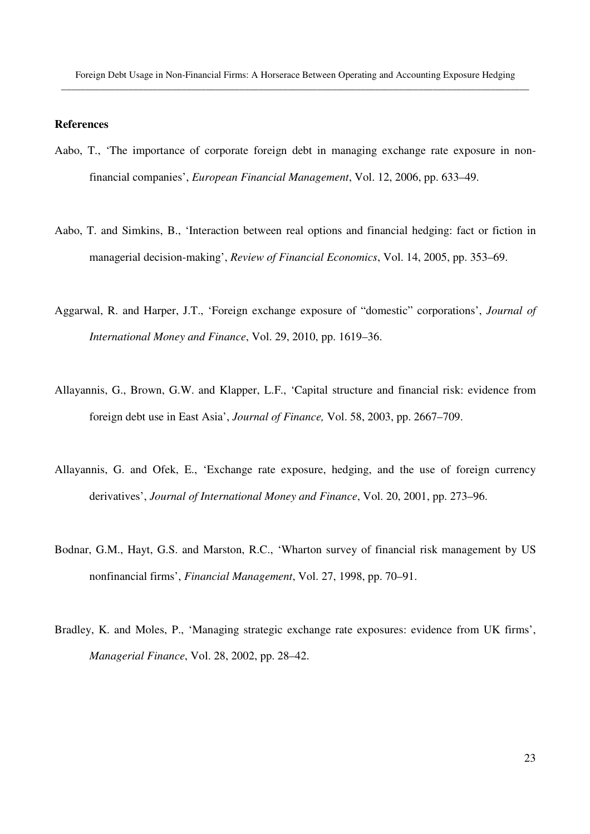## **References**

- Aabo, T., 'The importance of corporate foreign debt in managing exchange rate exposure in nonfinancial companies', *European Financial Management*, Vol. 12, 2006, pp. 633–49.
- Aabo, T. and Simkins, B., 'Interaction between real options and financial hedging: fact or fiction in managerial decision-making', *Review of Financial Economics*, Vol. 14, 2005, pp. 353–69.
- Aggarwal, R. and Harper, J.T., 'Foreign exchange exposure of "domestic" corporations', *Journal of International Money and Finance*, Vol. 29, 2010, pp. 1619–36.
- Allayannis, G., Brown, G.W. and Klapper, L.F., 'Capital structure and financial risk: evidence from foreign debt use in East Asia', *Journal of Finance,* Vol. 58, 2003, pp. 2667–709.
- Allayannis, G. and Ofek, E., 'Exchange rate exposure, hedging, and the use of foreign currency derivatives', *Journal of International Money and Finance*, Vol. 20, 2001, pp. 273–96.
- Bodnar, G.M., Hayt, G.S. and Marston, R.C., 'Wharton survey of financial risk management by US nonfinancial firms', *Financial Management*, Vol. 27, 1998, pp. 70–91.
- Bradley, K. and Moles, P., 'Managing strategic exchange rate exposures: evidence from UK firms', *Managerial Finance*, Vol. 28, 2002, pp. 28–42.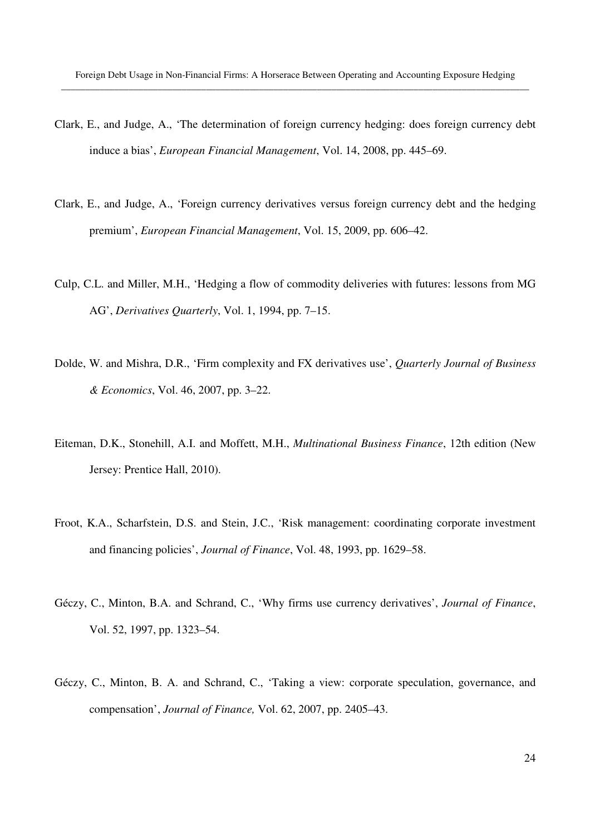- Clark, E., and Judge, A., 'The determination of foreign currency hedging: does foreign currency debt induce a bias', *European Financial Management*, Vol. 14, 2008, pp. 445–69.
- Clark, E., and Judge, A., 'Foreign currency derivatives versus foreign currency debt and the hedging premium', *European Financial Management*, Vol. 15, 2009, pp. 606–42.
- Culp, C.L. and Miller, M.H., 'Hedging a flow of commodity deliveries with futures: lessons from MG AG', *Derivatives Quarterly*, Vol. 1, 1994, pp. 7–15.
- Dolde, W. and Mishra, D.R., 'Firm complexity and FX derivatives use', *Quarterly Journal of Business & Economics*, Vol. 46, 2007, pp. 3–22.
- Eiteman, D.K., Stonehill, A.I. and Moffett, M.H., *Multinational Business Finance*, 12th edition (New Jersey: Prentice Hall, 2010).
- Froot, K.A., Scharfstein, D.S. and Stein, J.C., 'Risk management: coordinating corporate investment and financing policies', *Journal of Finance*, Vol. 48, 1993, pp. 1629–58.
- Géczy, C., Minton, B.A. and Schrand, C., 'Why firms use currency derivatives', *Journal of Finance*, Vol. 52, 1997, pp. 1323–54.
- Géczy, C., Minton, B. A. and Schrand, C., 'Taking a view: corporate speculation, governance, and compensation', *Journal of Finance,* Vol. 62, 2007, pp. 2405–43.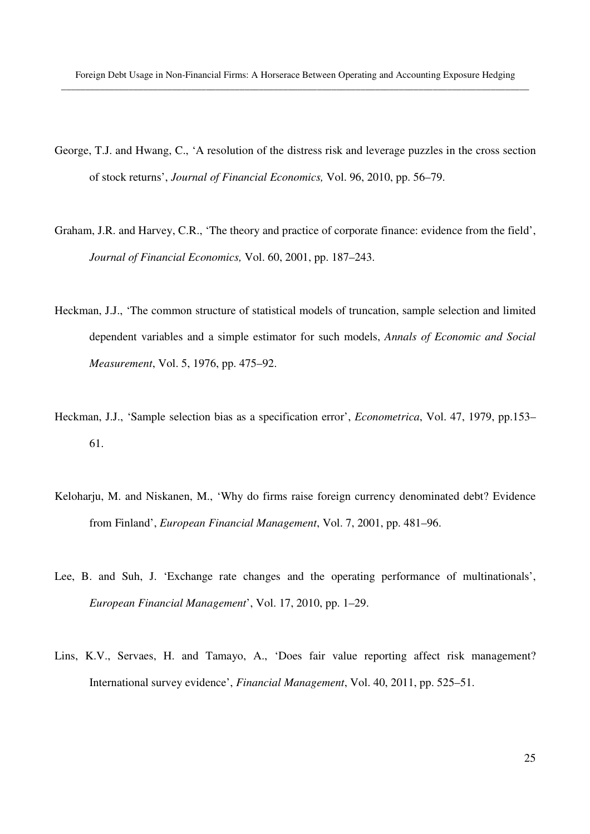- George, T.J. and Hwang, C., 'A resolution of the distress risk and leverage puzzles in the cross section of stock returns', *Journal of Financial Economics,* Vol. 96, 2010, pp. 56–79.
- Graham, J.R. and Harvey, C.R., 'The theory and practice of corporate finance: evidence from the field', *Journal of Financial Economics,* Vol. 60, 2001, pp. 187–243.
- Heckman, J.J., 'The common structure of statistical models of truncation, sample selection and limited dependent variables and a simple estimator for such models, *Annals of Economic and Social Measurement*, Vol. 5, 1976, pp. 475–92.
- Heckman, J.J., 'Sample selection bias as a specification error', *Econometrica*, Vol. 47, 1979, pp.153– 61.
- Keloharju, M. and Niskanen, M., 'Why do firms raise foreign currency denominated debt? Evidence from Finland', *European Financial Management*, Vol. 7, 2001, pp. 481–96.
- Lee, B. and Suh, J. 'Exchange rate changes and the operating performance of multinationals', *European Financial Management*', Vol. 17, 2010, pp. 1–29.
- Lins, K.V., Servaes, H. and Tamayo, A., 'Does fair value reporting affect risk management? International survey evidence', *Financial Management*, Vol. 40, 2011, pp. 525–51.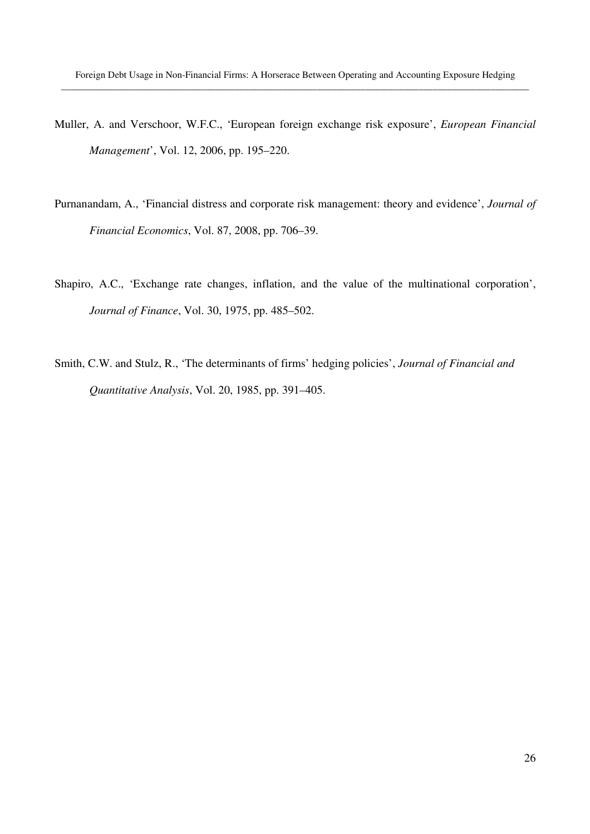- Muller, A. and Verschoor, W.F.C., 'European foreign exchange risk exposure', *European Financial Management*', Vol. 12, 2006, pp. 195–220.
- Purnanandam, A., 'Financial distress and corporate risk management: theory and evidence', *Journal of Financial Economics*, Vol. 87, 2008, pp. 706–39.
- Shapiro, A.C., 'Exchange rate changes, inflation, and the value of the multinational corporation', *Journal of Finance*, Vol. 30, 1975, pp. 485–502.
- Smith, C.W. and Stulz, R., 'The determinants of firms' hedging policies', *Journal of Financial and Quantitative Analysis*, Vol. 20, 1985, pp. 391–405.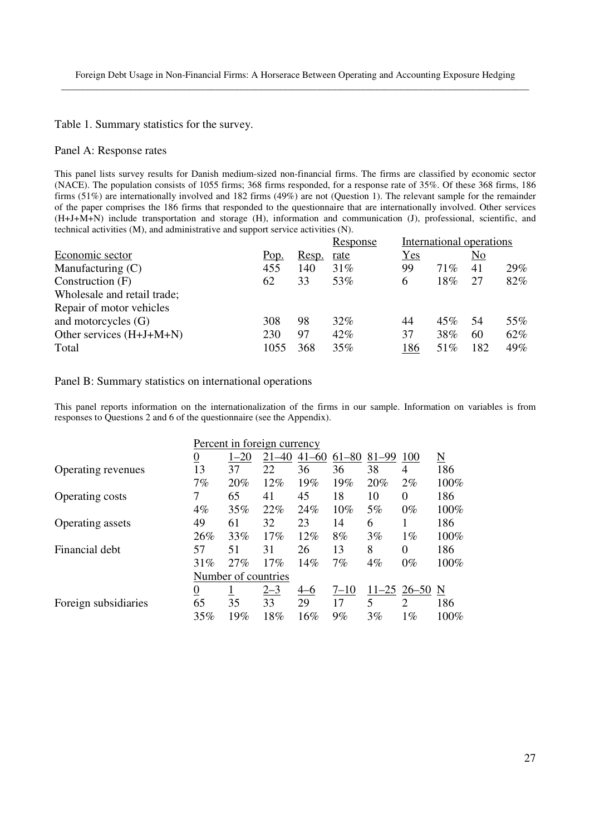Table 1. Summary statistics for the survey.

#### Panel A: Response rates

This panel lists survey results for Danish medium-sized non-financial firms. The firms are classified by economic sector (NACE). The population consists of 1055 firms; 368 firms responded, for a response rate of 35%. Of these 368 firms, 186 firms (51%) are internationally involved and 182 firms (49%) are not (Question 1). The relevant sample for the remainder of the paper comprises the 186 firms that responded to the questionnaire that are internationally involved. Other services (H+J+M+N) include transportation and storage (H), information and communication (J), professional, scientific, and technical activities (M), and administrative and support service activities (N).

|                             |      |       | Response | International operations |        |                |     |
|-----------------------------|------|-------|----------|--------------------------|--------|----------------|-----|
| Economic sector             | Pop. | Resp. | rate     | Yes                      |        | N <sub>o</sub> |     |
| Manufacturing $(C)$         | 455  | 140   | 31%      | 99                       | $71\%$ | 41             | 29% |
| Construction (F)            | 62   | 33    | 53%      | 6                        | 18%    | 27             | 82% |
| Wholesale and retail trade; |      |       |          |                          |        |                |     |
| Repair of motor vehicles    |      |       |          |                          |        |                |     |
| and motorcycles $(G)$       | 308  | 98    | 32%      | 44                       | 45%    | 54             | 55% |
| Other services $(H+J+M+N)$  | 230  | 97    | 42%      | 37                       | 38%    | 60             | 62% |
| Total                       | 1055 | 368   | 35%      | 186                      | 51%    | 182            | 49% |

#### Panel B: Summary statistics on international operations

This panel reports information on the internationalization of the firms in our sample. Information on variables is from responses to Questions 2 and 6 of the questionnaire (see the Appendix).

|                        | Percent in foreign currency |                     |         |           |          |       |                 |                     |
|------------------------|-----------------------------|---------------------|---------|-----------|----------|-------|-----------------|---------------------|
|                        | <u>0</u>                    | $1 - 20$            | -40     | $41 - 60$ | 61-80    | 81-99 | 100             | $\underline{\rm N}$ |
| Operating revenues     | 13                          | 37                  | 22      | 36        | 36       | 38    | 4               | 186                 |
|                        | 7%                          | 20%                 | 12%     | 19%       | 19%      | 20%   | $2\%$           | 100%                |
| <b>Operating costs</b> |                             | 65                  | 41      | 45        | 18       | 10    | $\theta$        | 186                 |
|                        | 4%                          | 35%                 | 22%     | 24%       | 10%      | 5%    | $0\%$           | 100%                |
| Operating assets       | 49                          | 61                  | 32      | 23        | 14       | 6     |                 | 186                 |
|                        | 26%                         | 33%                 | 17%     | $12\%$    | 8%       | 3%    | $1\%$           | 100%                |
| Financial debt         | 57                          | 51                  | 31      | 26        | 13       | 8     | 0               | 186                 |
|                        | 31%                         | 27%                 | 17%     | 14%       | 7%       | 4%    | $0\%$           | 100%                |
|                        |                             | Number of countries |         |           |          |       |                 |                     |
|                        | $\underline{0}$             |                     | $2 - 3$ | $4 - 6$   | $7 - 10$ |       | $11-25$ 26-50 N |                     |
| Foreign subsidiaries   | 65                          | 35                  | 33      | 29        | 17       | 5     | $\overline{2}$  | 186                 |
|                        | 35%                         | 19%                 | 18%     | 16%       | 9%       | 3%    | $1\%$           | 100%                |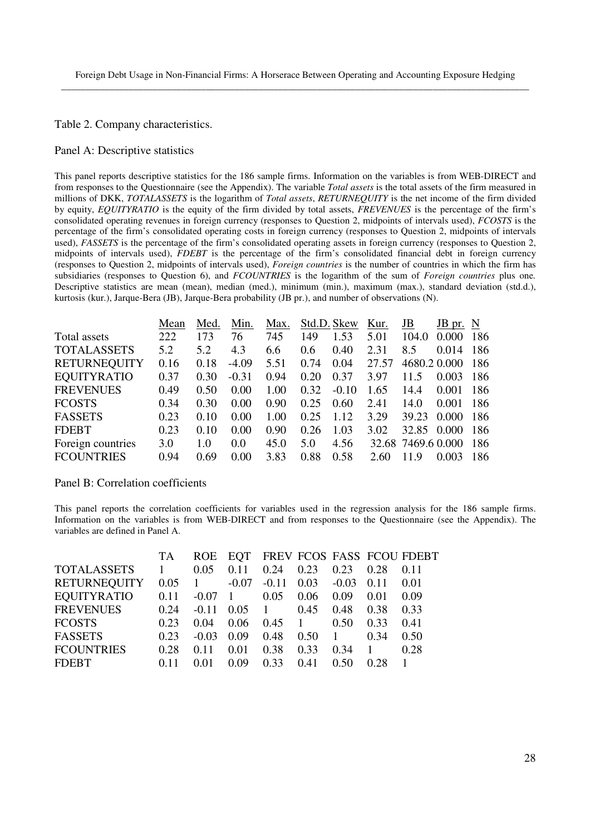Table 2. Company characteristics.

#### Panel A: Descriptive statistics

This panel reports descriptive statistics for the 186 sample firms. Information on the variables is from WEB-DIRECT and from responses to the Questionnaire (see the Appendix). The variable *Total assets* is the total assets of the firm measured in millions of DKK, *TOTALASSETS* is the logarithm of *Total assets*, *RETURNEQUITY* is the net income of the firm divided by equity, *EQUITYRATIO* is the equity of the firm divided by total assets, *FREVENUES* is the percentage of the firm's consolidated operating revenues in foreign currency (responses to Question 2, midpoints of intervals used), *FCOSTS* is the percentage of the firm's consolidated operating costs in foreign currency (responses to Question 2, midpoints of intervals used), *FASSETS* is the percentage of the firm's consolidated operating assets in foreign currency (responses to Question 2, midpoints of intervals used), *FDEBT* is the percentage of the firm's consolidated financial debt in foreign currency (responses to Question 2, midpoints of intervals used), *Foreign countries* is the number of countries in which the firm has subsidiaries (responses to Question 6), and *FCOUNTRIES* is the logarithm of the sum of *Foreign countries* plus one*.* Descriptive statistics are mean (mean), median (med.), minimum (min.), maximum (max.), standard deviation (std.d.), kurtosis (kur.), Jarque-Bera (JB), Jarque-Bera probability (JB pr.), and number of observations (N).

|                     | Mean | Med. | Min.    | Max. | Std.D. Skew   |         | Kur.  | JB                 | $JB$ pr. $N$ |      |
|---------------------|------|------|---------|------|---------------|---------|-------|--------------------|--------------|------|
| Total assets        | 222  | 173  | 76      | 745  | 149           | 1.53    | 5.01  | 104.0              | 0.000        | 186  |
| <b>TOTALASSETS</b>  | 5.2  | 5.2  | 4.3     | 6.6  | $0.6^{\circ}$ | 0.40    | 2.31  | 8.5                | 0.014        | 186  |
| <b>RETURNEQUITY</b> | 0.16 | 0.18 | $-4.09$ | 5.51 | 0.74          | 0.04    | 27.57 | 4680.2 0.000       |              | -186 |
| <b>EQUITYRATIO</b>  | 0.37 | 0.30 | $-0.31$ | 0.94 | 0.20          | 0.37    | 3.97  | 11.5               | 0.003        | -186 |
| <b>FREVENUES</b>    | 0.49 | 0.50 | 0.00    | 1.00 | 0.32          | $-0.10$ | 1.65  | 14.4               | 0.001        | 186  |
| <b>FCOSTS</b>       | 0.34 | 0.30 | 0.00    | 0.90 | 0.25          | 0.60    | 2.41  | 14.0               | 0.001        | 186  |
| <b>FASSETS</b>      | 0.23 | 0.10 | 0.00    | 1.00 | 0.25          | 1.12    | 3.29  | 39.23              | 0.000        | 186  |
| <b>FDEBT</b>        | 0.23 | 0.10 | 0.00    | 0.90 | 0.26          | 1.03    | 3.02  | 32.85              | 0.000        | 186  |
| Foreign countries   | 3.0  | 1.0  | 0.0     | 45.0 | 5.0           | 4.56    |       | 32.68 7469.6 0.000 |              | 186  |
| <b>FCOUNTRIES</b>   | 0.94 | 0.69 | 0.00    | 3.83 | 0.88          | 0.58    | 2.60  | 11.9               | 0.003        | 186  |

#### Panel B: Correlation coefficients

This panel reports the correlation coefficients for variables used in the regression analysis for the 186 sample firms. Information on the variables is from WEB-DIRECT and from responses to the Questionnaire (see the Appendix). The variables are defined in Panel A.

|                     | TA   | <b>ROE</b>   | EOT            |                |                |         |      | FREV FCOS FASS FCOU FDEBT |
|---------------------|------|--------------|----------------|----------------|----------------|---------|------|---------------------------|
| <b>TOTALASSETS</b>  | 1    | 0.05         | 0.11           | 0.24           | 0.23           | 0.23    | 0.28 | 0.11                      |
| <b>RETURNEQUITY</b> | 0.05 | $\mathbf{1}$ | $-0.07$        | $-0.11$        | 0.03           | $-0.03$ | 0.11 | 0.01                      |
| <b>EQUITYRATIO</b>  | 0.11 | $-0.07$      | $\overline{1}$ | 0.05           | 0.06           | 0.09    | 0.01 | 0.09                      |
| <b>FREVENUES</b>    | 0.24 | $-0.11$      | 0.05           | $\overline{1}$ | 0.45           | 0.48    | 0.38 | 0.33                      |
| <b>FCOSTS</b>       | 0.23 | 0.04         | 0.06           | 0.45           | $\overline{1}$ | 0.50    | 0.33 | 0.41                      |
| <b>FASSETS</b>      | 0.23 | $-0.03$      | 0.09           | 0.48           | 0.50           |         | 0.34 | 0.50                      |
| <b>FCOUNTRIES</b>   | 0.28 | 0.11         | 0.01           | 0.38           | 0.33           | 0.34    |      | 0.28                      |
| <b>FDEBT</b>        |      | 0.01         | 0.09           | 0.33           | 0.41           | 0.50    | 0.28 |                           |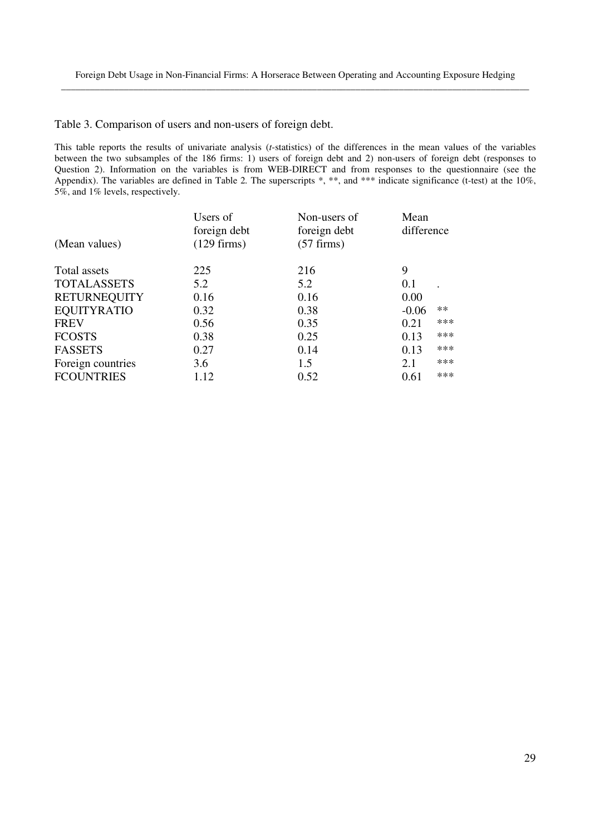Table 3. Comparison of users and non-users of foreign debt.

This table reports the results of univariate analysis (*t*-statistics) of the differences in the mean values of the variables between the two subsamples of the 186 firms: 1) users of foreign debt and 2) non-users of foreign debt (responses to Question 2). Information on the variables is from WEB-DIRECT and from responses to the questionnaire (see the Appendix). The variables are defined in Table 2. The superscripts \*, \*\*, and \*\*\* indicate significance (t-test) at the 10%, 5%, and 1% levels, respectively.

| (Mean values)       | Users of<br>foreign debt<br>$(129$ firms) | Non-users of<br>foreign debt<br>$(57$ firms) | Mean<br>difference |       |
|---------------------|-------------------------------------------|----------------------------------------------|--------------------|-------|
| Total assets        | 225                                       | 216                                          | 9                  |       |
| <b>TOTALASSETS</b>  | 5.2                                       | 5.2                                          | 0.1                |       |
| <b>RETURNEQUITY</b> | 0.16                                      | 0.16                                         | 0.00               |       |
| <b>EQUITYRATIO</b>  | 0.32                                      | 0.38                                         | $-0.06$            | $***$ |
| <b>FREV</b>         | 0.56                                      | 0.35                                         | 0.21               | ***   |
| <b>FCOSTS</b>       | 0.38                                      | 0.25                                         | 0.13               | $***$ |
| <b>FASSETS</b>      | 0.27                                      | 0.14                                         | 0.13               | ***   |
| Foreign countries   | 3.6                                       | 1.5                                          | 2.1                | $***$ |
| <b>FCOUNTRIES</b>   | 1.12                                      | 0.52                                         | 0.61               | $***$ |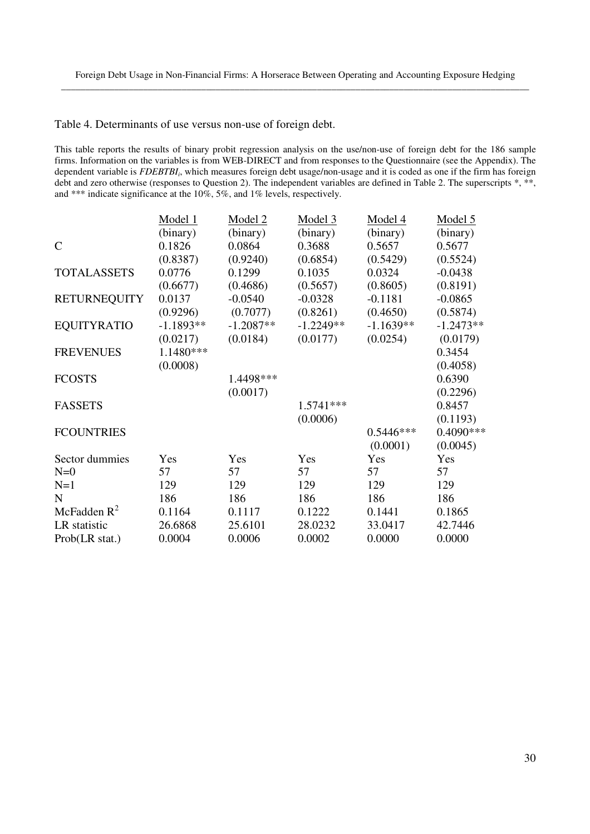Table 4. Determinants of use versus non-use of foreign debt.

This table reports the results of binary probit regression analysis on the use/non-use of foreign debt for the 186 sample firms. Information on the variables is from WEB-DIRECT and from responses to the Questionnaire (see the Appendix). The dependent variable is *FDEBTBI<sup>i</sup>* , which measures foreign debt usage/non-usage and it is coded as one if the firm has foreign debt and zero otherwise (responses to Question 2). The independent variables are defined in Table 2. The superscripts  $*, **$ , and \*\*\* indicate significance at the 10%, 5%, and 1% levels, respectively.

|                     | Model 1     | Model 2     | Model 3     | Model 4     | Model 5     |
|---------------------|-------------|-------------|-------------|-------------|-------------|
|                     | (binary)    | (binary)    | (binary)    | (binary)    | (binary)    |
| $\mathsf{C}$        | 0.1826      | 0.0864      | 0.3688      | 0.5657      | 0.5677      |
|                     | (0.8387)    | (0.9240)    | (0.6854)    | (0.5429)    | (0.5524)    |
| <b>TOTALASSETS</b>  | 0.0776      | 0.1299      | 0.1035      | 0.0324      | $-0.0438$   |
|                     | (0.6677)    | (0.4686)    | (0.5657)    | (0.8605)    | (0.8191)    |
| <b>RETURNEQUITY</b> | 0.0137      | $-0.0540$   | $-0.0328$   | $-0.1181$   | $-0.0865$   |
|                     | (0.9296)    | (0.7077)    | (0.8261)    | (0.4650)    | (0.5874)    |
| <b>EQUITYRATIO</b>  | $-1.1893**$ | $-1.2087**$ | $-1.2249**$ | $-1.1639**$ | $-1.2473**$ |
|                     | (0.0217)    | (0.0184)    | (0.0177)    | (0.0254)    | (0.0179)    |
| <b>FREVENUES</b>    | 1.1480***   |             |             |             | 0.3454      |
|                     | (0.0008)    |             |             |             | (0.4058)    |
| <b>FCOSTS</b>       |             | 1.4498***   |             |             | 0.6390      |
|                     |             | (0.0017)    |             |             | (0.2296)    |
| <b>FASSETS</b>      |             |             | 1.5741***   |             | 0.8457      |
|                     |             |             | (0.0006)    |             | (0.1193)    |
| <b>FCOUNTRIES</b>   |             |             |             | $0.5446***$ | 0.4090 ***  |
|                     |             |             |             | (0.0001)    | (0.0045)    |
| Sector dummies      | Yes         | Yes         | Yes         | Yes         | Yes         |
| $N=0$               | 57          | 57          | 57          | 57          | 57          |
| $N=1$               | 129         | 129         | 129         | 129         | 129         |
| $\mathbf N$         | 186         | 186         | 186         | 186         | 186         |
| McFadden $R^2$      | 0.1164      | 0.1117      | 0.1222      | 0.1441      | 0.1865      |
| LR statistic        | 26.6868     | 25.6101     | 28.0232     | 33.0417     | 42.7446     |
| Prob(LR stat.)      | 0.0004      | 0.0006      | 0.0002      | 0.0000      | 0.0000      |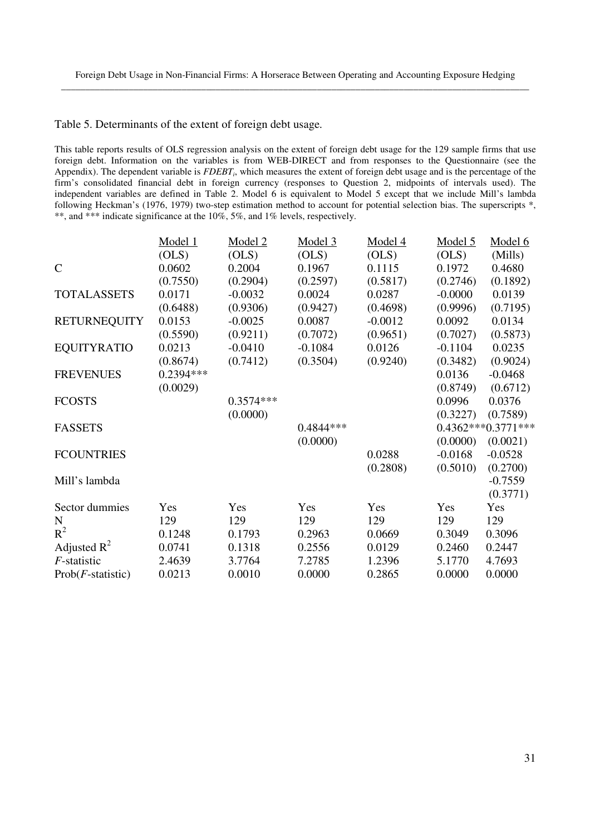#### Table 5. Determinants of the extent of foreign debt usage.

This table reports results of OLS regression analysis on the extent of foreign debt usage for the 129 sample firms that use foreign debt. Information on the variables is from WEB-DIRECT and from responses to the Questionnaire (see the Appendix). The dependent variable is *FDEBT<sup>i</sup>* , which measures the extent of foreign debt usage and is the percentage of the firm's consolidated financial debt in foreign currency (responses to Question 2, midpoints of intervals used). The independent variables are defined in Table 2. Model 6 is equivalent to Model 5 except that we include Mill's lambda following Heckman's (1976, 1979) two-step estimation method to account for potential selection bias. The superscripts \*, \*\*, and \*\*\* indicate significance at the 10%, 5%, and 1% levels, respectively.

|                     | Model 1    | Model 2     | Model 3    | Model 4   | Model 5   | Model 6            |
|---------------------|------------|-------------|------------|-----------|-----------|--------------------|
|                     | (OLS)      | (OLS)       | (OLS)      | (OLS)     | (OLS)     | (Mills)            |
| $\mathsf{C}$        | 0.0602     | 0.2004      | 0.1967     | 0.1115    | 0.1972    | 0.4680             |
|                     | (0.7550)   | (0.2904)    | (0.2597)   | (0.5817)  | (0.2746)  | (0.1892)           |
| <b>TOTALASSETS</b>  | 0.0171     | $-0.0032$   | 0.0024     | 0.0287    | $-0.0000$ | 0.0139             |
|                     | (0.6488)   | (0.9306)    | (0.9427)   | (0.4698)  | (0.9996)  | (0.7195)           |
| <b>RETURNEQUITY</b> | 0.0153     | $-0.0025$   | 0.0087     | $-0.0012$ | 0.0092    | 0.0134             |
|                     | (0.5590)   | (0.9211)    | (0.7072)   | (0.9651)  | (0.7027)  | (0.5873)           |
| <b>EQUITYRATIO</b>  | 0.0213     | $-0.0410$   | $-0.1084$  | 0.0126    | $-0.1104$ | 0.0235             |
|                     | (0.8674)   | (0.7412)    | (0.3504)   | (0.9240)  | (0.3482)  | (0.9024)           |
| <b>FREVENUES</b>    | 0.2394 *** |             |            |           | 0.0136    | $-0.0468$          |
|                     | (0.0029)   |             |            |           | (0.8749)  | (0.6712)           |
| <b>FCOSTS</b>       |            | $0.3574***$ |            |           | 0.0996    | 0.0376             |
|                     |            | (0.0000)    |            |           | (0.3227)  | (0.7589)           |
| <b>FASSETS</b>      |            |             | 0.4844 *** |           |           | 0.4362***0.3771*** |
|                     |            |             | (0.0000)   |           | (0.0000)  | (0.0021)           |
| <b>FCOUNTRIES</b>   |            |             |            | 0.0288    | $-0.0168$ | $-0.0528$          |
|                     |            |             |            | (0.2808)  | (0.5010)  | (0.2700)           |
| Mill's lambda       |            |             |            |           |           | $-0.7559$          |
|                     |            |             |            |           |           | (0.3771)           |
| Sector dummies      | Yes        | Yes         | Yes        | Yes       | Yes       | Yes                |
| N                   | 129        | 129         | 129        | 129       | 129       | 129                |
| $R^2$               | 0.1248     | 0.1793      | 0.2963     | 0.0669    | 0.3049    | 0.3096             |
| Adjusted $R^2$      | 0.0741     | 0.1318      | 0.2556     | 0.0129    | 0.2460    | 0.2447             |
| F-statistic         | 2.4639     | 3.7764      | 7.2785     | 1.2396    | 5.1770    | 4.7693             |
| $Prob(F-statistic)$ | 0.0213     | 0.0010      | 0.0000     | 0.2865    | 0.0000    | 0.0000             |
|                     |            |             |            |           |           |                    |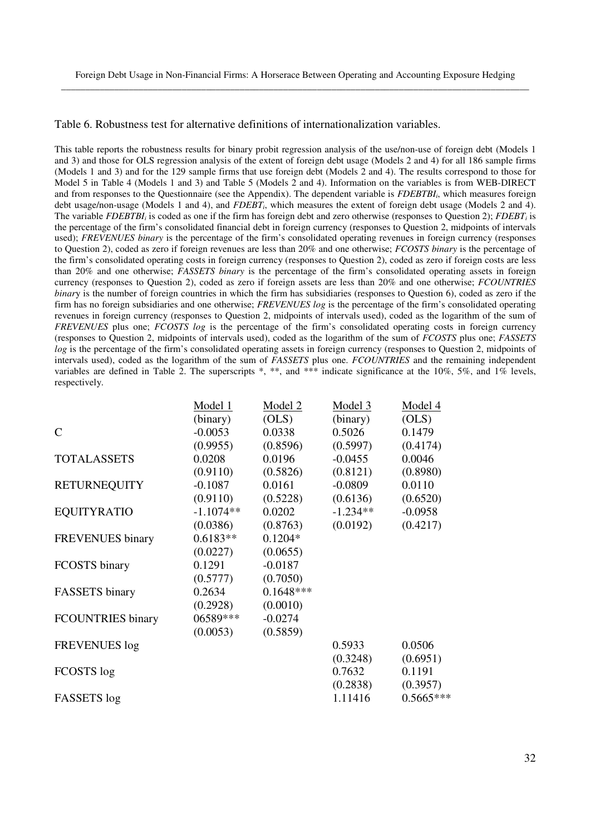Table 6. Robustness test for alternative definitions of internationalization variables.

This table reports the robustness results for binary probit regression analysis of the use/non-use of foreign debt (Models 1 and 3) and those for OLS regression analysis of the extent of foreign debt usage (Models 2 and 4) for all 186 sample firms (Models 1 and 3) and for the 129 sample firms that use foreign debt (Models 2 and 4). The results correspond to those for Model 5 in Table 4 (Models 1 and 3) and Table 5 (Models 2 and 4). Information on the variables is from WEB-DIRECT and from responses to the Questionnaire (see the Appendix). The dependent variable is *FDEBTBI<sup>i</sup>* , which measures foreign debt usage/non-usage (Models 1 and 4), and *FDEBT<sup>i</sup>* , which measures the extent of foreign debt usage (Models 2 and 4). The variable *FDEBTBI*<sup>*i*</sup> is coded as one if the firm has foreign debt and zero otherwise (responses to Question 2); *FDEBT*<sup>*i*</sup> is the percentage of the firm's consolidated financial debt in foreign currency (responses to Question 2, midpoints of intervals used); *FREVENUES binary* is the percentage of the firm's consolidated operating revenues in foreign currency (responses to Question 2), coded as zero if foreign revenues are less than 20% and one otherwise; *FCOSTS binary* is the percentage of the firm's consolidated operating costs in foreign currency (responses to Question 2), coded as zero if foreign costs are less than 20% and one otherwise; *FASSETS binary* is the percentage of the firm's consolidated operating assets in foreign currency (responses to Question 2), coded as zero if foreign assets are less than 20% and one otherwise; *FCOUNTRIES binary* is the number of foreign countries in which the firm has subsidiaries (responses to Question 6), coded as zero if the firm has no foreign subsidiaries and one otherwise; *FREVENUES log* is the percentage of the firm's consolidated operating revenues in foreign currency (responses to Question 2, midpoints of intervals used), coded as the logarithm of the sum of *FREVENUES* plus one; *FCOSTS log* is the percentage of the firm's consolidated operating costs in foreign currency (responses to Question 2, midpoints of intervals used), coded as the logarithm of the sum of *FCOSTS* plus one; *FASSETS log* is the percentage of the firm's consolidated operating assets in foreign currency (responses to Question 2, midpoints of intervals used), coded as the logarithm of the sum of *FASSETS* plus one. *FCOUNTRIES* and the remaining independent variables are defined in Table 2. The superscripts  $*$ ,  $**$ , and  $***$  indicate significance at the 10%, 5%, and 1% levels, respectively.

|                          | Model 1     | Model 2     | Model <sub>3</sub> | Model 4     |
|--------------------------|-------------|-------------|--------------------|-------------|
|                          | (binary)    | (OLS)       | (binary)           | (OLS)       |
| $\mathsf{C}$             | $-0.0053$   | 0.0338      | 0.5026             | 0.1479      |
|                          | (0.9955)    | (0.8596)    | (0.5997)           | (0.4174)    |
| <b>TOTALASSETS</b>       | 0.0208      | 0.0196      | $-0.0455$          | 0.0046      |
|                          | (0.9110)    | (0.5826)    | (0.8121)           | (0.8980)    |
| <b>RETURNEQUITY</b>      | $-0.1087$   | 0.0161      | $-0.0809$          | 0.0110      |
|                          | (0.9110)    | (0.5228)    | (0.6136)           | (0.6520)    |
| <b>EQUITYRATIO</b>       | $-1.1074**$ | 0.0202      | $-1.234**$         | $-0.0958$   |
|                          | (0.0386)    | (0.8763)    | (0.0192)           | (0.4217)    |
| <b>FREVENUES</b> binary  | $0.6183**$  | $0.1204*$   |                    |             |
|                          | (0.0227)    | (0.0655)    |                    |             |
| FCOSTS binary            | 0.1291      | $-0.0187$   |                    |             |
|                          | (0.5777)    | (0.7050)    |                    |             |
| <b>FASSETS</b> binary    | 0.2634      | $0.1648***$ |                    |             |
|                          | (0.2928)    | (0.0010)    |                    |             |
| <b>FCOUNTRIES</b> binary | 06589***    | $-0.0274$   |                    |             |
|                          | (0.0053)    | (0.5859)    |                    |             |
| <b>FREVENUES</b> log     |             |             | 0.5933             | 0.0506      |
|                          |             |             | (0.3248)           | (0.6951)    |
| FCOSTS log               |             |             | 0.7632             | 0.1191      |
|                          |             |             | (0.2838)           | (0.3957)    |
| FASSETS log              |             |             | 1.11416            | $0.5665***$ |
|                          |             |             |                    |             |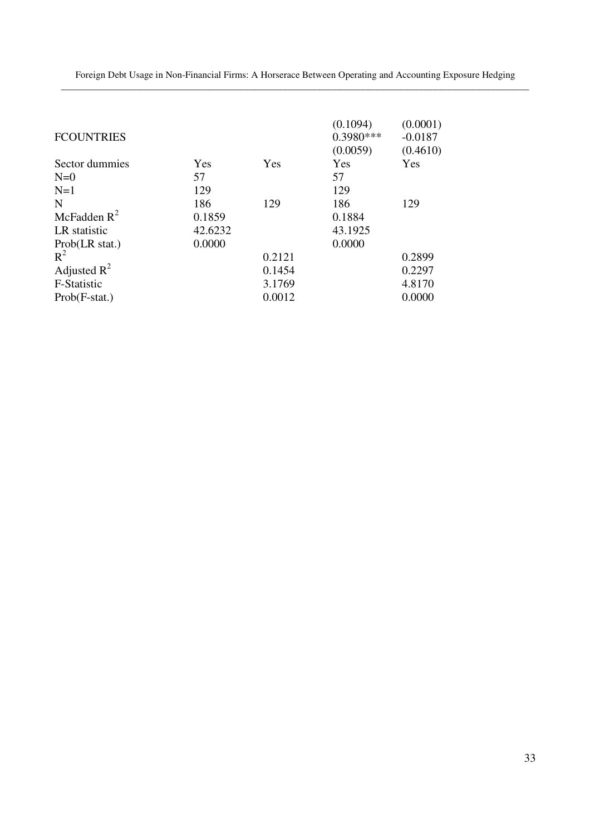Foreign Debt Usage in Non-Financial Firms: A Horserace Between Operating and Accounting Exposure Hedging \_\_\_\_\_\_\_\_\_\_\_\_\_\_\_\_\_\_\_\_\_\_\_\_\_\_\_\_\_\_\_\_\_\_\_\_\_\_\_\_\_\_\_\_\_\_\_\_\_\_\_\_\_\_\_\_\_\_\_\_\_\_\_\_\_\_\_\_\_\_\_\_\_\_\_\_\_\_\_\_\_\_\_\_\_\_\_\_\_\_\_\_\_\_\_\_\_

| <b>FCOUNTRIES</b> |         |        | (0.1094)<br>$0.3980***$<br>(0.0059) | (0.0001)<br>$-0.0187$<br>(0.4610) |
|-------------------|---------|--------|-------------------------------------|-----------------------------------|
| Sector dummies    | Yes     | Yes    | Yes                                 | Yes                               |
| $N=0$             | 57      |        | 57                                  |                                   |
| $N=1$             | 129     |        | 129                                 |                                   |
| N                 | 186     | 129    | 186                                 | 129                               |
| McFadden $R^2$    | 0.1859  |        | 0.1884                              |                                   |
| LR statistic      | 42.6232 |        | 43.1925                             |                                   |
| Prob(LR stat.)    | 0.0000  |        | 0.0000                              |                                   |
| $R^2$             |         | 0.2121 |                                     | 0.2899                            |
| Adjusted $R^2$    |         | 0.1454 |                                     | 0.2297                            |
| F-Statistic       |         | 3.1769 |                                     | 4.8170                            |
| $Prob(F-stat.)$   |         | 0.0012 |                                     | 0.0000                            |
|                   |         |        |                                     |                                   |